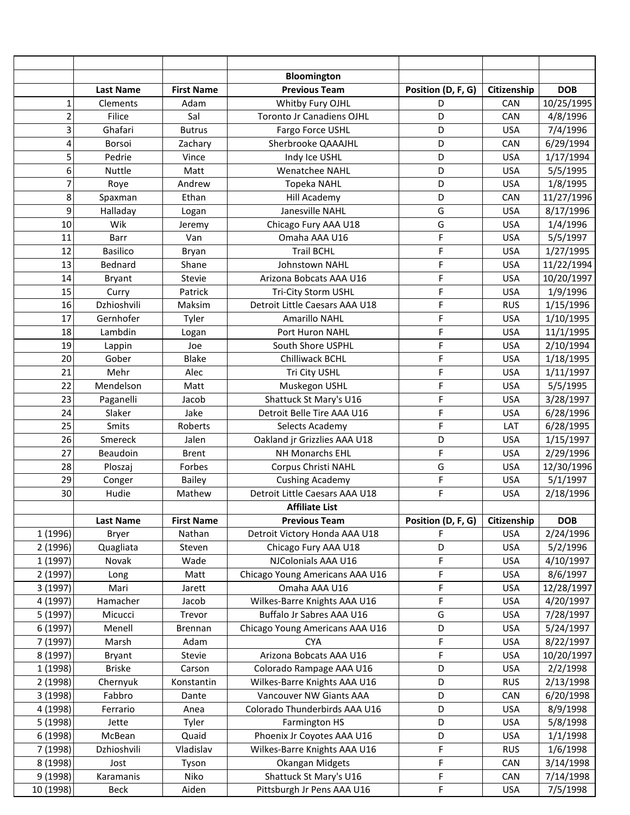|                |                  |                   | Bloomington                      |                    |             |            |
|----------------|------------------|-------------------|----------------------------------|--------------------|-------------|------------|
|                | <b>Last Name</b> | <b>First Name</b> | <b>Previous Team</b>             | Position (D, F, G) | Citizenship | <b>DOB</b> |
| $\mathbf 1$    | Clements         | Adam              | Whitby Fury OJHL                 | D                  | CAN         | 10/25/1995 |
| $\overline{2}$ | Filice           | Sal               | <b>Toronto Jr Canadiens OJHL</b> | D                  | CAN         | 4/8/1996   |
| 3              | Ghafari          | <b>Butrus</b>     | Fargo Force USHL                 | D                  | <b>USA</b>  | 7/4/1996   |
| 4              | Borsoi           | Zachary           | Sherbrooke QAAAJHL               | D                  | CAN         | 6/29/1994  |
| 5              | Pedrie           | Vince             | Indy Ice USHL                    | D                  | <b>USA</b>  | 1/17/1994  |
| 6              | Nuttle           | Matt              | Wenatchee NAHL                   | D                  | <b>USA</b>  | 5/5/1995   |
| $\overline{7}$ | Roye             | Andrew            | <b>Topeka NAHL</b>               | D                  | <b>USA</b>  | 1/8/1995   |
| 8              | Spaxman          | Ethan             | <b>Hill Academy</b>              | D                  | CAN         | 11/27/1996 |
| 9              | Halladay         | Logan             | Janesville NAHL                  | G                  | <b>USA</b>  | 8/17/1996  |
| 10             | Wik              | Jeremy            | Chicago Fury AAA U18             | G                  | <b>USA</b>  | 1/4/1996   |
| 11             | Barr             | Van               | Omaha AAA U16                    | F                  | <b>USA</b>  | 5/5/1997   |
| 12             | <b>Basilico</b>  | Bryan             | <b>Trail BCHL</b>                | F                  | <b>USA</b>  | 1/27/1995  |
| 13             | Bednard          | Shane             | Johnstown NAHL                   | F                  | <b>USA</b>  | 11/22/1994 |
| 14             | <b>Bryant</b>    | <b>Stevie</b>     | Arizona Bobcats AAA U16          | F                  | <b>USA</b>  | 10/20/1997 |
| 15             | Curry            | Patrick           | Tri-City Storm USHL              | F                  | <b>USA</b>  | 1/9/1996   |
| 16             | Dzhioshvili      | Maksim            | Detroit Little Caesars AAA U18   | F                  | <b>RUS</b>  | 1/15/1996  |
| 17             | Gernhofer        | Tyler             | <b>Amarillo NAHL</b>             | F                  | <b>USA</b>  | 1/10/1995  |
| 18             | Lambdin          | Logan             | Port Huron NAHL                  | F                  | <b>USA</b>  | 11/1/1995  |
| 19             | Lappin           | Joe               | South Shore USPHL                | F                  | <b>USA</b>  | 2/10/1994  |
| 20             | Gober            | <b>Blake</b>      | Chilliwack BCHL                  | F                  | <b>USA</b>  | 1/18/1995  |
| 21             | Mehr             | Alec              | Tri City USHL                    | F                  | <b>USA</b>  | 1/11/1997  |
| 22             | Mendelson        | Matt              | Muskegon USHL                    | F                  | <b>USA</b>  | 5/5/1995   |
| 23             | Paganelli        | Jacob             | Shattuck St Mary's U16           | F                  | <b>USA</b>  | 3/28/1997  |
| 24             | Slaker           | Jake              | Detroit Belle Tire AAA U16       | F                  | <b>USA</b>  | 6/28/1996  |
| 25             | <b>Smits</b>     | Roberts           | Selects Academy                  | F                  | LAT         | 6/28/1995  |
| 26             | Smereck          | Jalen             | Oakland jr Grizzlies AAA U18     | D                  | <b>USA</b>  | 1/15/1997  |
| 27             | Beaudoin         | <b>Brent</b>      | NH Monarchs EHL                  | F                  | <b>USA</b>  | 2/29/1996  |
| 28             | Ploszaj          | Forbes            | Corpus Christi NAHL              | G                  | <b>USA</b>  | 12/30/1996 |
| 29             | Conger           | <b>Bailey</b>     | <b>Cushing Academy</b>           | F                  | <b>USA</b>  | 5/1/1997   |
| 30             | Hudie            | Mathew            | Detroit Little Caesars AAA U18   | F                  | <b>USA</b>  | 2/18/1996  |
|                |                  |                   | <b>Affiliate List</b>            |                    |             |            |
|                | <b>Last Name</b> | <b>First Name</b> | <b>Previous Team</b>             | Position (D, F, G) | Citizenship | <b>DOB</b> |
| 1 (1996)       | <b>Bryer</b>     | Nathan            | Detroit Victory Honda AAA U18    | F                  | <b>USA</b>  | 2/24/1996  |
| 2 (1996)       | Quagliata        | Steven            | Chicago Fury AAA U18             | D                  | <b>USA</b>  | 5/2/1996   |
| 1 (1997)       | Novak            | Wade              | NJColonials AAA U16              | F                  | <b>USA</b>  | 4/10/1997  |
| 2 (1997)       | Long             | Matt              | Chicago Young Americans AAA U16  | F                  | <b>USA</b>  | 8/6/1997   |
| 3 (1997)       | Mari             | Jarett            | Omaha AAA U16                    | F                  | <b>USA</b>  | 12/28/1997 |
| 4 (1997)       | Hamacher         | Jacob             | Wilkes-Barre Knights AAA U16     | F                  | <b>USA</b>  | 4/20/1997  |
| 5 (1997)       | Micucci          | Trevor            | Buffalo Jr Sabres AAA U16        | G                  | <b>USA</b>  | 7/28/1997  |
| 6(1997)        | Menell           | Brennan           | Chicago Young Americans AAA U16  | D                  | <b>USA</b>  | 5/24/1997  |
| 7 (1997)       | Marsh            | Adam              | <b>CYA</b>                       | F                  | <b>USA</b>  | 8/22/1997  |
| 8 (1997)       | <b>Bryant</b>    | Stevie            | Arizona Bobcats AAA U16          | F                  | <b>USA</b>  | 10/20/1997 |
| 1 (1998)       | <b>Briske</b>    | Carson            | Colorado Rampage AAA U16         | D                  | <b>USA</b>  | 2/2/1998   |
| 2 (1998)       | Chernyuk         | Konstantin        | Wilkes-Barre Knights AAA U16     | D                  | <b>RUS</b>  | 2/13/1998  |
| 3 (1998)       | Fabbro           | Dante             | Vancouver NW Giants AAA          | D                  | CAN         | 6/20/1998  |
| 4 (1998)       | Ferrario         | Anea              | Colorado Thunderbirds AAA U16    | D                  | <b>USA</b>  | 8/9/1998   |
| 5 (1998)       | Jette            | Tyler             | Farmington HS                    | D                  | <b>USA</b>  | 5/8/1998   |
| 6(1998)        | McBean           | Quaid             | Phoenix Jr Coyotes AAA U16       | D                  | <b>USA</b>  | 1/1/1998   |
| 7 (1998)       | Dzhioshvili      | Vladislav         | Wilkes-Barre Knights AAA U16     | F                  | <b>RUS</b>  | 1/6/1998   |
| 8 (1998)       | Jost             | Tyson             | <b>Okangan Midgets</b>           | F                  | <b>CAN</b>  | 3/14/1998  |
| 9(1998)        | Karamanis        | Niko              | Shattuck St Mary's U16           | F                  | CAN         | 7/14/1998  |
| 10 (1998)      | <b>Beck</b>      | Aiden             | Pittsburgh Jr Pens AAA U16       | F                  | <b>USA</b>  | 7/5/1998   |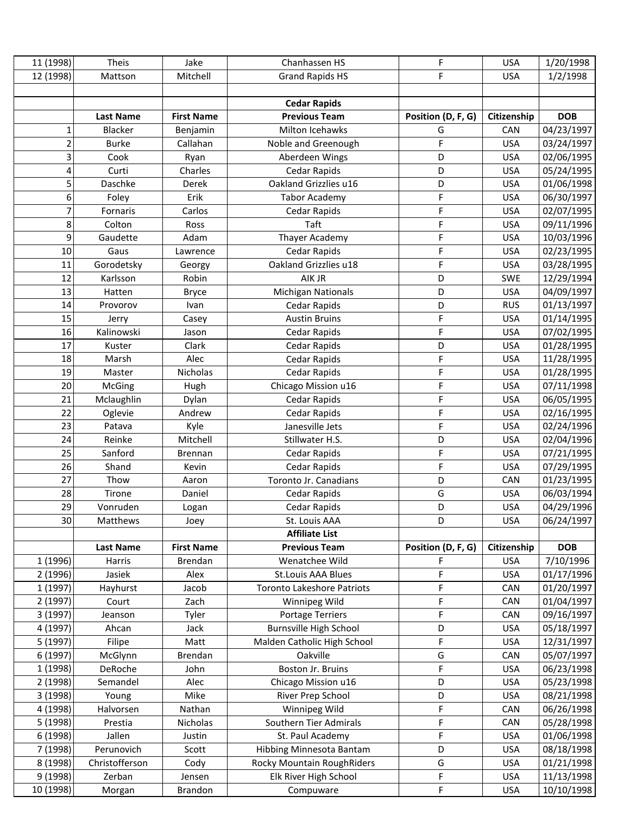| 11 (1998)      | Theis            | Jake              | Chanhassen HS                     | F                  | <b>USA</b>  | 1/20/1998  |
|----------------|------------------|-------------------|-----------------------------------|--------------------|-------------|------------|
| 12 (1998)      | Mattson          | Mitchell          | <b>Grand Rapids HS</b>            | F                  | <b>USA</b>  | 1/2/1998   |
|                |                  |                   |                                   |                    |             |            |
|                |                  |                   | <b>Cedar Rapids</b>               |                    |             |            |
|                | <b>Last Name</b> | <b>First Name</b> | <b>Previous Team</b>              | Position (D, F, G) | Citizenship | <b>DOB</b> |
| 1              | Blacker          | Benjamin          | Milton Icehawks                   | G                  | CAN         | 04/23/1997 |
| $\overline{2}$ | <b>Burke</b>     | Callahan          | Noble and Greenough               | F                  | <b>USA</b>  | 03/24/1997 |
| 3              | Cook             | Ryan              | Aberdeen Wings                    | D                  | <b>USA</b>  | 02/06/1995 |
| 4              | Curti            | Charles           | <b>Cedar Rapids</b>               | D                  | <b>USA</b>  | 05/24/1995 |
| 5              | Daschke          | Derek             | Oakland Grizzlies u16             | D                  | <b>USA</b>  | 01/06/1998 |
| 6              | Foley            | Erik              | <b>Tabor Academy</b>              | F                  | <b>USA</b>  | 06/30/1997 |
| 7              | Fornaris         | Carlos            | Cedar Rapids                      | F                  | <b>USA</b>  | 02/07/1995 |
| 8              | Colton           | Ross              | Taft                              | F                  | <b>USA</b>  | 09/11/1996 |
| 9              | Gaudette         | Adam              | Thayer Academy                    | F                  | <b>USA</b>  | 10/03/1996 |
| 10             | Gaus             | Lawrence          | Cedar Rapids                      | F                  | <b>USA</b>  | 02/23/1995 |
| 11             | Gorodetsky       | Georgy            | Oakland Grizzlies u18             | F                  | <b>USA</b>  | 03/28/1995 |
| 12             | Karlsson         | Robin             | AIK JR                            | D                  | <b>SWE</b>  | 12/29/1994 |
| 13             | Hatten           | <b>Bryce</b>      | <b>Michigan Nationals</b>         | D                  | <b>USA</b>  | 04/09/1997 |
| 14             | Provorov         | Ivan              | Cedar Rapids                      | D                  | <b>RUS</b>  | 01/13/1997 |
| 15             | Jerry            | Casey             | <b>Austin Bruins</b>              | F                  | <b>USA</b>  | 01/14/1995 |
| 16             | Kalinowski       | Jason             | Cedar Rapids                      | F                  | <b>USA</b>  | 07/02/1995 |
| 17             | Kuster           | Clark             | Cedar Rapids                      | D                  | <b>USA</b>  | 01/28/1995 |
| 18             | Marsh            | Alec              | Cedar Rapids                      | F                  | <b>USA</b>  | 11/28/1995 |
| 19             | Master           | Nicholas          | <b>Cedar Rapids</b>               | F                  | <b>USA</b>  | 01/28/1995 |
| 20             | McGing           | Hugh              | Chicago Mission u16               | F                  | <b>USA</b>  | 07/11/1998 |
| 21             | Mclaughlin       | Dylan             | Cedar Rapids                      | F                  | <b>USA</b>  | 06/05/1995 |
| 22             | Oglevie          | Andrew            | Cedar Rapids                      | F                  | <b>USA</b>  | 02/16/1995 |
| 23             | Patava           | Kyle              | Janesville Jets                   | F                  | <b>USA</b>  | 02/24/1996 |
| 24             | Reinke           | Mitchell          | Stillwater H.S.                   | D                  | <b>USA</b>  | 02/04/1996 |
| 25             | Sanford          | <b>Brennan</b>    | Cedar Rapids                      | F                  | <b>USA</b>  | 07/21/1995 |
| 26             | Shand            | Kevin             | <b>Cedar Rapids</b>               | F                  | <b>USA</b>  | 07/29/1995 |
| 27             | Thow             | Aaron             | Toronto Jr. Canadians             | D                  | CAN         | 01/23/1995 |
| 28             | Tirone           | Daniel            | Cedar Rapids                      | G                  | <b>USA</b>  | 06/03/1994 |
| 29             | Vonruden         | Logan             | Cedar Rapids                      | D                  | <b>USA</b>  | 04/29/1996 |
| 30             | Matthews         | Joey              | St. Louis AAA                     | D                  | <b>USA</b>  | 06/24/1997 |
|                |                  |                   | <b>Affiliate List</b>             |                    |             |            |
|                | <b>Last Name</b> | <b>First Name</b> | <b>Previous Team</b>              | Position (D, F, G) | Citizenship | <b>DOB</b> |
| 1 (1996)       | Harris           | Brendan           | Wenatchee Wild                    | F                  | <b>USA</b>  | 7/10/1996  |
| 2(1996)        | Jasiek           | Alex              | St.Louis AAA Blues                | F                  | <b>USA</b>  | 01/17/1996 |
| 1 (1997)       | Hayhurst         | Jacob             | <b>Toronto Lakeshore Patriots</b> | F                  | CAN         | 01/20/1997 |
| 2 (1997)       | Court            | Zach              | Winnipeg Wild                     | F                  | <b>CAN</b>  | 01/04/1997 |
| 3 (1997)       | Jeanson          | Tyler             | <b>Portage Terriers</b>           | F                  | CAN         | 09/16/1997 |
| 4 (1997)       | Ahcan            | Jack              | <b>Burnsville High School</b>     | D                  | <b>USA</b>  | 05/18/1997 |
| 5 (1997)       | Filipe           | Matt              | Malden Catholic High School       | F                  | <b>USA</b>  | 12/31/1997 |
| 6 (1997)       | McGlynn          | Brendan           | Oakville                          | G                  | CAN         | 05/07/1997 |
| 1 (1998)       | DeRoche          | John              | Boston Jr. Bruins                 | F                  | <b>USA</b>  | 06/23/1998 |
| 2 (1998)       | Semandel         | Alec              | Chicago Mission u16               | D                  | <b>USA</b>  | 05/23/1998 |
| 3 (1998)       | Young            | Mike              | River Prep School                 | D                  | <b>USA</b>  | 08/21/1998 |
| 4 (1998)       | Halvorsen        | Nathan            | Winnipeg Wild                     | F                  | CAN         | 06/26/1998 |
| 5 (1998)       | Prestia          | Nicholas          | Southern Tier Admirals            | F                  | CAN         | 05/28/1998 |
| 6 (1998)       | Jallen           | Justin            | St. Paul Academy                  | F                  | <b>USA</b>  | 01/06/1998 |
| 7 (1998)       | Perunovich       | Scott             | Hibbing Minnesota Bantam          | D                  | <b>USA</b>  | 08/18/1998 |
| 8 (1998)       | Christofferson   | Cody              | Rocky Mountain RoughRiders        | G                  | <b>USA</b>  | 01/21/1998 |
| 9 (1998)       | Zerban           | Jensen            | Elk River High School             | F                  | <b>USA</b>  | 11/13/1998 |
| 10 (1998)      | Morgan           | Brandon           | Compuware                         | F                  | <b>USA</b>  | 10/10/1998 |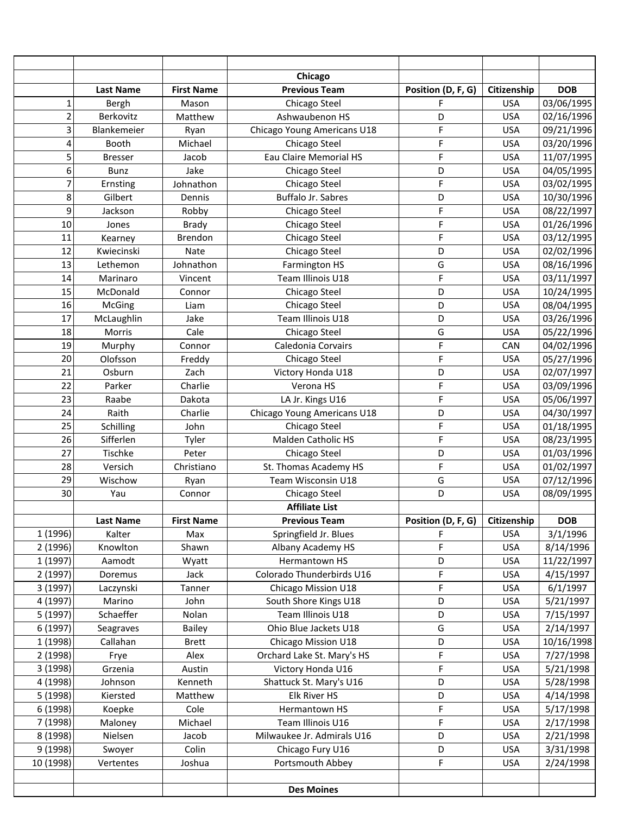|                |                  |                   | Chicago                     |                    |             |            |
|----------------|------------------|-------------------|-----------------------------|--------------------|-------------|------------|
|                | <b>Last Name</b> | <b>First Name</b> | <b>Previous Team</b>        | Position (D, F, G) | Citizenship | <b>DOB</b> |
| 1              | Bergh            | Mason             | Chicago Steel               | F                  | <b>USA</b>  | 03/06/1995 |
| $\overline{2}$ | Berkovitz        | Matthew           | Ashwaubenon HS              | D                  | <b>USA</b>  | 02/16/1996 |
| 3              | Blankemeier      | Ryan              | Chicago Young Americans U18 | F                  | <b>USA</b>  | 09/21/1996 |
| 4              | Booth            | Michael           | Chicago Steel               | F                  | <b>USA</b>  | 03/20/1996 |
| 5              | <b>Bresser</b>   | Jacob             | Eau Claire Memorial HS      | F                  | <b>USA</b>  | 11/07/1995 |
| 6              | <b>Bunz</b>      | Jake              | Chicago Steel               | D                  | <b>USA</b>  | 04/05/1995 |
| $\overline{7}$ | Ernsting         | Johnathon         | Chicago Steel               | F                  | <b>USA</b>  | 03/02/1995 |
| 8              | Gilbert          | Dennis            | Buffalo Jr. Sabres          | D                  | <b>USA</b>  | 10/30/1996 |
| 9              | Jackson          | Robby             | Chicago Steel               | F                  | <b>USA</b>  | 08/22/1997 |
| 10             | Jones            | <b>Brady</b>      | Chicago Steel               | F                  | <b>USA</b>  | 01/26/1996 |
| 11             | Kearney          | Brendon           | Chicago Steel               | F                  | <b>USA</b>  | 03/12/1995 |
| 12             | Kwiecinski       | Nate              | Chicago Steel               | D                  | <b>USA</b>  | 02/02/1996 |
| 13             | Lethemon         | Johnathon         | Farmington HS               | G                  | <b>USA</b>  | 08/16/1996 |
| 14             | Marinaro         | Vincent           | Team Illinois U18           | F                  | <b>USA</b>  | 03/11/1997 |
| 15             | McDonald         | Connor            | Chicago Steel               | D                  | <b>USA</b>  | 10/24/1995 |
| 16             | McGing           | Liam              | Chicago Steel               | D                  | <b>USA</b>  | 08/04/1995 |
| 17             | McLaughlin       | Jake              | Team Illinois U18           | D                  | <b>USA</b>  | 03/26/1996 |
| 18             | Morris           | Cale              | Chicago Steel               | G                  | <b>USA</b>  | 05/22/1996 |
| 19             | Murphy           | Connor            | Caledonia Corvairs          | F                  | CAN         | 04/02/1996 |
| 20             | Olofsson         | Freddy            | Chicago Steel               | F                  | <b>USA</b>  | 05/27/1996 |
| 21             | Osburn           | Zach              | Victory Honda U18           | D                  | <b>USA</b>  | 02/07/1997 |
| 22             | Parker           | Charlie           | Verona HS                   | F                  | <b>USA</b>  | 03/09/1996 |
| 23             | Raabe            | Dakota            | LA Jr. Kings U16            | F                  | <b>USA</b>  | 05/06/1997 |
| 24             | Raith            | Charlie           | Chicago Young Americans U18 | D                  | <b>USA</b>  | 04/30/1997 |
| 25             | Schilling        | John              | Chicago Steel               | F                  | <b>USA</b>  | 01/18/1995 |
| 26             | Sifferlen        | Tyler             | Malden Catholic HS          | F                  | <b>USA</b>  | 08/23/1995 |
| 27             | Tischke          | Peter             | Chicago Steel               | D                  | <b>USA</b>  | 01/03/1996 |
| 28             | Versich          | Christiano        | St. Thomas Academy HS       | F                  | <b>USA</b>  | 01/02/1997 |
| 29             | Wischow          | Ryan              | Team Wisconsin U18          | G                  | <b>USA</b>  | 07/12/1996 |
| 30             | Yau              | Connor            | Chicago Steel               | D                  | <b>USA</b>  | 08/09/1995 |
|                |                  |                   | <b>Affiliate List</b>       |                    |             |            |
|                | <b>Last Name</b> | <b>First Name</b> | <b>Previous Team</b>        | Position (D, F, G) | Citizenship | <b>DOB</b> |
| 1 (1996)       | Kalter           | Max               | Springfield Jr. Blues       | F                  | <b>USA</b>  | 3/1/1996   |
| 2 (1996)       | Knowlton         | Shawn             | Albany Academy HS           | F                  | <b>USA</b>  | 8/14/1996  |
| 1(1997)        | Aamodt           | Wyatt             | Hermantown HS               | D                  | <b>USA</b>  | 11/22/1997 |
| 2 (1997)       | Doremus          | Jack              | Colorado Thunderbirds U16   | F                  | <b>USA</b>  | 4/15/1997  |
| 3(1997)        | Laczynski        | Tanner            | Chicago Mission U18         | F                  | <b>USA</b>  | 6/1/1997   |
| 4 (1997)       | Marino           | John              | South Shore Kings U18       | D                  | <b>USA</b>  | 5/21/1997  |
| 5 (1997)       | Schaeffer        | Nolan             | Team Illinois U18           | D                  | <b>USA</b>  | 7/15/1997  |
| 6(1997)        | Seagraves        | Bailey            | Ohio Blue Jackets U18       | G                  | <b>USA</b>  | 2/14/1997  |
| 1 (1998)       | Callahan         | <b>Brett</b>      | Chicago Mission U18         | D                  | <b>USA</b>  | 10/16/1998 |
| 2 (1998)       | Frye             | Alex              | Orchard Lake St. Mary's HS  | F                  | <b>USA</b>  | 7/27/1998  |
| 3 (1998)       | Grzenia          | Austin            | Victory Honda U16           | F                  | <b>USA</b>  | 5/21/1998  |
| 4 (1998)       | Johnson          | Kenneth           | Shattuck St. Mary's U16     | D                  | <b>USA</b>  | 5/28/1998  |
| 5 (1998)       | Kiersted         | Matthew           | <b>Elk River HS</b>         | D                  | <b>USA</b>  | 4/14/1998  |
| 6 (1998)       | Koepke           | Cole              | Hermantown HS               | F                  | <b>USA</b>  | 5/17/1998  |
| 7 (1998)       | Maloney          | Michael           | Team Illinois U16           | F                  | <b>USA</b>  | 2/17/1998  |
| 8 (1998)       | Nielsen          | Jacob             | Milwaukee Jr. Admirals U16  | D                  | <b>USA</b>  | 2/21/1998  |
| 9 (1998)       | Swoyer           | Colin             | Chicago Fury U16            | D                  | <b>USA</b>  | 3/31/1998  |
| 10 (1998)      | Vertentes        | Joshua            | Portsmouth Abbey            | F                  | <b>USA</b>  | 2/24/1998  |
|                |                  |                   |                             |                    |             |            |
|                |                  |                   | <b>Des Moines</b>           |                    |             |            |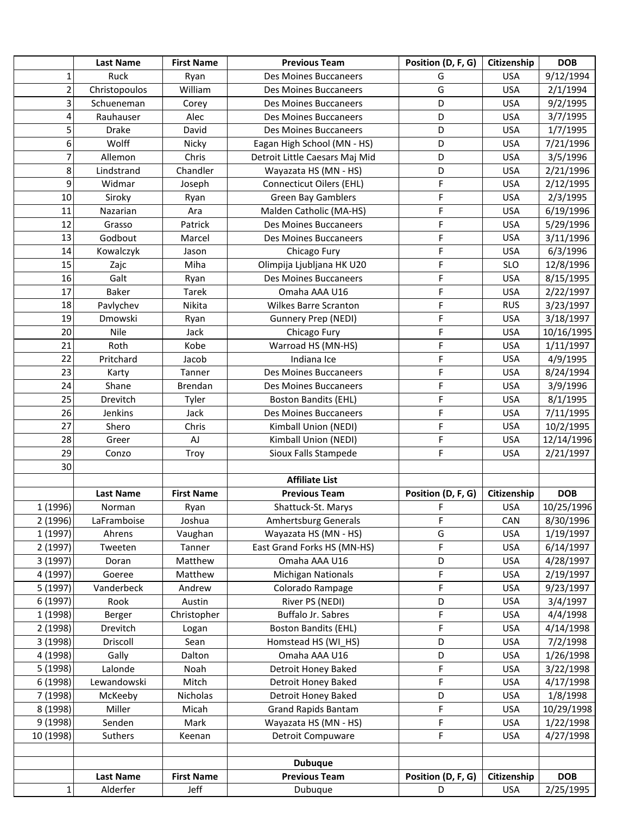|                | <b>Last Name</b> | <b>First Name</b> | <b>Previous Team</b>            | Position (D, F, G) | Citizenship | <b>DOB</b> |
|----------------|------------------|-------------------|---------------------------------|--------------------|-------------|------------|
| 1              | Ruck             | Ryan              | <b>Des Moines Buccaneers</b>    | G                  | <b>USA</b>  | 9/12/1994  |
| $\overline{2}$ | Christopoulos    | William           | <b>Des Moines Buccaneers</b>    | G                  | <b>USA</b>  | 2/1/1994   |
| 3              | Schueneman       | Corey             | Des Moines Buccaneers           | D                  | <b>USA</b>  | 9/2/1995   |
| 4              | Rauhauser        | Alec              | Des Moines Buccaneers           | D                  | <b>USA</b>  | 3/7/1995   |
| 5              | <b>Drake</b>     | David             | Des Moines Buccaneers           | D                  | <b>USA</b>  | 1/7/1995   |
| 6              | Wolff            | Nicky             | Eagan High School (MN - HS)     | D                  | <b>USA</b>  | 7/21/1996  |
| 7              | Allemon          | Chris             | Detroit Little Caesars Maj Mid  | D                  | <b>USA</b>  | 3/5/1996   |
| 8              | Lindstrand       | Chandler          | Wayazata HS (MN - HS)           | D                  | <b>USA</b>  | 2/21/1996  |
| 9              | Widmar           | Joseph            | <b>Connecticut Oilers (EHL)</b> | F                  | <b>USA</b>  | 2/12/1995  |
| 10             | Siroky           | Ryan              | <b>Green Bay Gamblers</b>       | F                  | <b>USA</b>  | 2/3/1995   |
| 11             | Nazarian         | Ara               | Malden Catholic (MA-HS)         | F                  | <b>USA</b>  | 6/19/1996  |
| 12             | Grasso           | Patrick           | Des Moines Buccaneers           | F                  | <b>USA</b>  | 5/29/1996  |
| 13             | Godbout          | Marcel            | Des Moines Buccaneers           | F                  | <b>USA</b>  | 3/11/1996  |
| 14             | Kowalczyk        | Jason             | Chicago Fury                    | F                  | <b>USA</b>  | 6/3/1996   |
| 15             | Zajc             | Miha              | Olimpija Ljubljana HK U20       | F                  | <b>SLO</b>  | 12/8/1996  |
| 16             | Galt             | Ryan              | Des Moines Buccaneers           | F                  | <b>USA</b>  | 8/15/1995  |
| 17             | <b>Baker</b>     | Tarek             | Omaha AAA U16                   | F                  | <b>USA</b>  | 2/22/1997  |
| 18             | Pavlychev        | Nikita            | <b>Wilkes Barre Scranton</b>    | F                  | <b>RUS</b>  | 3/23/1997  |
| 19             | Dmowski          | Ryan              | Gunnery Prep (NEDI)             | F                  | <b>USA</b>  | 3/18/1997  |
| 20             | Nile             | Jack              | Chicago Fury                    | F                  | <b>USA</b>  | 10/16/1995 |
| 21             | Roth             | Kobe              | Warroad HS (MN-HS)              | F                  | <b>USA</b>  | 1/11/1997  |
| 22             | Pritchard        | Jacob             | Indiana Ice                     | F                  | <b>USA</b>  | 4/9/1995   |
| 23             | Karty            | Tanner            | <b>Des Moines Buccaneers</b>    | F                  | <b>USA</b>  | 8/24/1994  |
| 24             | Shane            | Brendan           | Des Moines Buccaneers           | F                  | <b>USA</b>  | 3/9/1996   |
| 25             | Drevitch         | Tyler             | <b>Boston Bandits (EHL)</b>     | F                  | <b>USA</b>  | 8/1/1995   |
| 26             | Jenkins          | Jack              | Des Moines Buccaneers           | F                  | <b>USA</b>  | 7/11/1995  |
| 27             | Shero            | Chris             | Kimball Union (NEDI)            | F                  | <b>USA</b>  | 10/2/1995  |
| 28             | Greer            | AJ                | Kimball Union (NEDI)            | F                  | <b>USA</b>  | 12/14/1996 |
| 29             | Conzo            | Troy              | Sioux Falls Stampede            | F                  | <b>USA</b>  | 2/21/1997  |
| 30             |                  |                   |                                 |                    |             |            |
|                |                  |                   | <b>Affiliate List</b>           |                    |             |            |
|                | <b>Last Name</b> | <b>First Name</b> | <b>Previous Team</b>            | Position (D, F, G) | Citizenship | <b>DOB</b> |
| 1 (1996)       | Norman           | Ryan              | Shattuck-St. Marys              | F                  | <b>USA</b>  | 10/25/1996 |
| 2 (1996)       | LaFramboise      | Joshua            | Amhertsburg Generals            | F                  | CAN         | 8/30/1996  |
| 1 (1997)       | Ahrens           | Vaughan           | Wayazata HS (MN - HS)           | G                  | <b>USA</b>  | 1/19/1997  |
| 2(1997)        | Tweeten          | Tanner            | East Grand Forks HS (MN-HS)     | F                  | <b>USA</b>  | 6/14/1997  |
| 3 (1997)       | Doran            | Matthew           | Omaha AAA U16                   | D                  | <b>USA</b>  | 4/28/1997  |
| 4 (1997)       | Goeree           | Matthew           | <b>Michigan Nationals</b>       | F                  | <b>USA</b>  | 2/19/1997  |
| 5 (1997)       | Vanderbeck       | Andrew            | Colorado Rampage                | F                  | <b>USA</b>  | 9/23/1997  |
| 6 (1997)       | Rook             | Austin            | River PS (NEDI)                 | D                  | <b>USA</b>  | 3/4/1997   |
| 1 (1998)       | Berger           | Christopher       | Buffalo Jr. Sabres              | F                  | <b>USA</b>  | 4/4/1998   |
| 2 (1998)       | Drevitch         | Logan             | <b>Boston Bandits (EHL)</b>     | F                  | <b>USA</b>  | 4/14/1998  |
| 3 (1998)       | Driscoll         | Sean              | Homstead HS (WI HS)             | D                  | <b>USA</b>  | 7/2/1998   |
| 4 (1998)       | Gally            | Dalton            | Omaha AAA U16                   | D                  | <b>USA</b>  | 1/26/1998  |
| 5 (1998)       | Lalonde          | Noah              | Detroit Honey Baked             | F                  | <b>USA</b>  | 3/22/1998  |
| 6 (1998)       | Lewandowski      | Mitch             | Detroit Honey Baked             | F                  | <b>USA</b>  | 4/17/1998  |
| 7 (1998)       | McKeeby          | Nicholas          | Detroit Honey Baked             | D                  | <b>USA</b>  | 1/8/1998   |
| 8 (1998)       | Miller           | Micah             | <b>Grand Rapids Bantam</b>      | F                  | <b>USA</b>  | 10/29/1998 |
| 9 (1998)       | Senden           | Mark              | Wayazata HS (MN - HS)           | F                  | <b>USA</b>  | 1/22/1998  |
| 10 (1998)      | Suthers          | Keenan            | Detroit Compuware               | F                  | <b>USA</b>  | 4/27/1998  |
|                |                  |                   |                                 |                    |             |            |
|                |                  |                   | <b>Dubuque</b>                  |                    |             |            |
|                | <b>Last Name</b> | <b>First Name</b> | <b>Previous Team</b>            | Position (D, F, G) | Citizenship | <b>DOB</b> |
| $\mathbf{1}$   | Alderfer         | Jeff              | Dubuque                         | D                  | <b>USA</b>  | 2/25/1995  |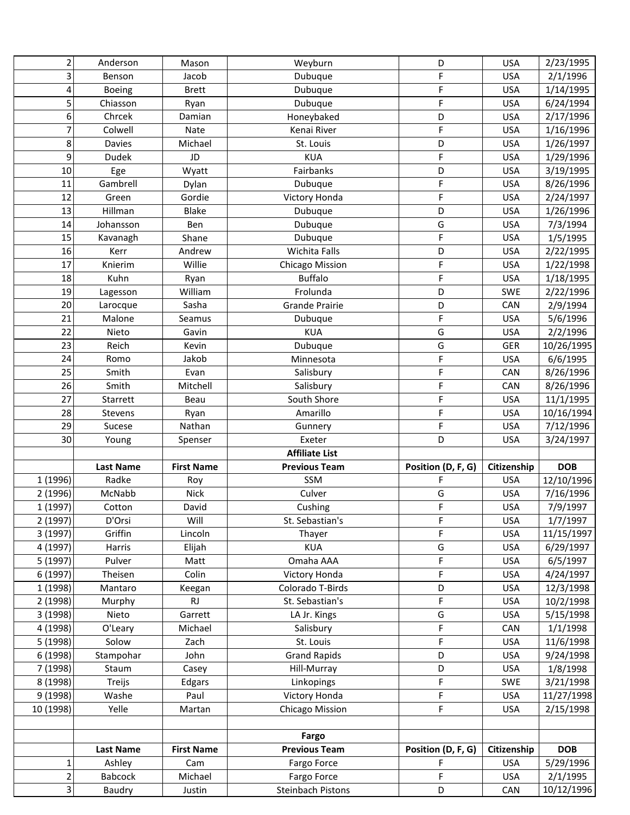| $\overline{c}$      | Anderson                 | Mason             | Weyburn                                 | D                  | <b>USA</b>  | 2/23/1995              |
|---------------------|--------------------------|-------------------|-----------------------------------------|--------------------|-------------|------------------------|
| 3                   | Benson                   | Jacob             | Dubuque                                 | F                  | <b>USA</b>  | 2/1/1996               |
| 4                   | Boeing                   | <b>Brett</b>      | Dubuque                                 | F                  | <b>USA</b>  | 1/14/1995              |
| 5                   | Chiasson                 | Ryan              | Dubuque                                 | F                  | <b>USA</b>  | 6/24/1994              |
| 6                   | Chrcek                   | Damian            | Honeybaked                              | D                  | <b>USA</b>  | 2/17/1996              |
| 7                   | Colwell                  | Nate              | Kenai River                             | F                  | <b>USA</b>  | 1/16/1996              |
| 8                   | Davies                   | Michael           | St. Louis                               | D                  | <b>USA</b>  | 1/26/1997              |
| 9                   | <b>Dudek</b>             | JD                | <b>KUA</b>                              | F                  | <b>USA</b>  | 1/29/1996              |
| $10\,$              | Ege                      | Wyatt             | Fairbanks                               | D                  | <b>USA</b>  | 3/19/1995              |
| 11                  | Gambrell                 | Dylan             | Dubuque                                 | F                  | <b>USA</b>  | 8/26/1996              |
| 12                  | Green                    | Gordie            | Victory Honda                           | F                  | <b>USA</b>  | 2/24/1997              |
| 13                  | Hillman                  | <b>Blake</b>      | Dubuque                                 | D                  | <b>USA</b>  | 1/26/1996              |
| 14                  | Johansson                | Ben               | Dubuque                                 | G                  | <b>USA</b>  | 7/3/1994               |
| 15                  | Kavanagh                 | Shane             | Dubuque                                 | F                  | <b>USA</b>  | 1/5/1995               |
| 16                  | Kerr                     | Andrew            | Wichita Falls                           | D                  | <b>USA</b>  | 2/22/1995              |
| 17                  | Knierim                  | Willie            | <b>Chicago Mission</b>                  | F                  | <b>USA</b>  | 1/22/1998              |
| 18                  | Kuhn                     | Ryan              | <b>Buffalo</b>                          | F                  | <b>USA</b>  | 1/18/1995              |
| 19                  | Lagesson                 | William           | Frolunda                                | D                  | <b>SWE</b>  | 2/22/1996              |
| 20                  | Larocque                 | Sasha             | <b>Grande Prairie</b>                   | D                  | CAN         | 2/9/1994               |
| 21                  | Malone                   | Seamus            | Dubuque                                 | F                  | <b>USA</b>  | 5/6/1996               |
| 22                  | Nieto                    | Gavin             | <b>KUA</b>                              | G                  | <b>USA</b>  | 2/2/1996               |
| 23                  | Reich                    | Kevin             | Dubuque                                 | G                  | <b>GER</b>  | 10/26/1995             |
| 24                  | Romo                     | Jakob             | Minnesota                               | F                  | <b>USA</b>  | 6/6/1995               |
| 25                  | Smith                    | Evan              | Salisbury                               | F                  | CAN         | 8/26/1996              |
| 26                  | Smith                    | Mitchell          | Salisbury                               | F                  | CAN         | 8/26/1996              |
| 27                  | Starrett                 | Beau              | South Shore                             | F                  | <b>USA</b>  | 11/1/1995              |
| 28                  | Stevens                  | Ryan              | Amarillo                                | F                  | <b>USA</b>  | 10/16/1994             |
|                     |                          |                   |                                         |                    |             |                        |
| 29                  | Sucese                   | Nathan            | Gunnery                                 | F                  | <b>USA</b>  | 7/12/1996              |
| 30                  | Young                    | Spenser           | Exeter                                  | D                  | <b>USA</b>  | 3/24/1997              |
|                     |                          |                   | <b>Affiliate List</b>                   |                    |             |                        |
|                     | <b>Last Name</b>         | <b>First Name</b> | <b>Previous Team</b>                    | Position (D, F, G) | Citizenship | <b>DOB</b>             |
| 1 (1996)            | Radke                    | Roy               | SSM                                     | F                  | <b>USA</b>  | 12/10/1996             |
| 2 (1996)            | McNabb                   | <b>Nick</b>       | Culver                                  | G                  | <b>USA</b>  | 7/16/1996              |
| 1 (1997)            | Cotton                   | David             | Cushing                                 | F                  | <b>USA</b>  | 7/9/1997               |
| 2 (1997)            | D'Orsi                   | Will              | St. Sebastian's                         | F                  | <b>USA</b>  | 1/7/1997               |
| 3 (1997)            | Griffin                  | Lincoln           | Thayer                                  | F                  | <b>USA</b>  | 11/15/1997             |
| 4 (1997)            | Harris                   | Elijah            | <b>KUA</b>                              | G                  | <b>USA</b>  | 6/29/1997              |
| 5 (1997)            | Pulver                   | Matt              | Omaha AAA                               | F                  | <b>USA</b>  | 6/5/1997               |
| 6 (1997)            | Theisen                  | Colin             | Victory Honda                           | F                  | <b>USA</b>  | 4/24/1997              |
| 1 (1998)            | Mantaro                  | Keegan            | Colorado T-Birds                        | D                  | <b>USA</b>  | 12/3/1998              |
| 2 (1998)            | Murphy                   | RJ.               | St. Sebastian's                         | F                  | <b>USA</b>  | 10/2/1998              |
| 3 (1998)            | Nieto                    | Garrett           | LA Jr. Kings                            | G                  | <b>USA</b>  | 5/15/1998              |
| 4 (1998)            | O'Leary                  | Michael           | Salisbury                               | F                  | CAN         | 1/1/1998               |
| 5 (1998)            | Solow                    | Zach              | St. Louis                               | F                  | <b>USA</b>  | 11/6/1998              |
| 6 (1998)            | Stampohar                | John              | <b>Grand Rapids</b>                     | D                  | <b>USA</b>  | 9/24/1998              |
| 7 (1998)            | Staum                    | Casey             | Hill-Murray                             | D                  | <b>USA</b>  | 1/8/1998               |
| 8 (1998)            | Treijs                   | Edgars            | Linkopings                              | F                  | <b>SWE</b>  | 3/21/1998              |
| 9 (1998)            | Washe                    | Paul              | Victory Honda                           | F                  | <b>USA</b>  | 11/27/1998             |
| 10 (1998)           | Yelle                    | Martan            | Chicago Mission                         | F                  | <b>USA</b>  | 2/15/1998              |
|                     |                          |                   |                                         |                    |             |                        |
|                     |                          |                   | Fargo                                   |                    |             |                        |
|                     | <b>Last Name</b>         | <b>First Name</b> | <b>Previous Team</b>                    | Position (D, F, G) | Citizenship | <b>DOB</b>             |
| $\mathbf{1}$        | Ashley                   | Cam               | Fargo Force                             | F                  | <b>USA</b>  | 5/29/1996              |
| $\overline{2}$<br>3 | <b>Babcock</b><br>Baudry | Michael<br>Justin | Fargo Force<br><b>Steinbach Pistons</b> | F<br>D             | <b>USA</b>  | 2/1/1995<br>10/12/1996 |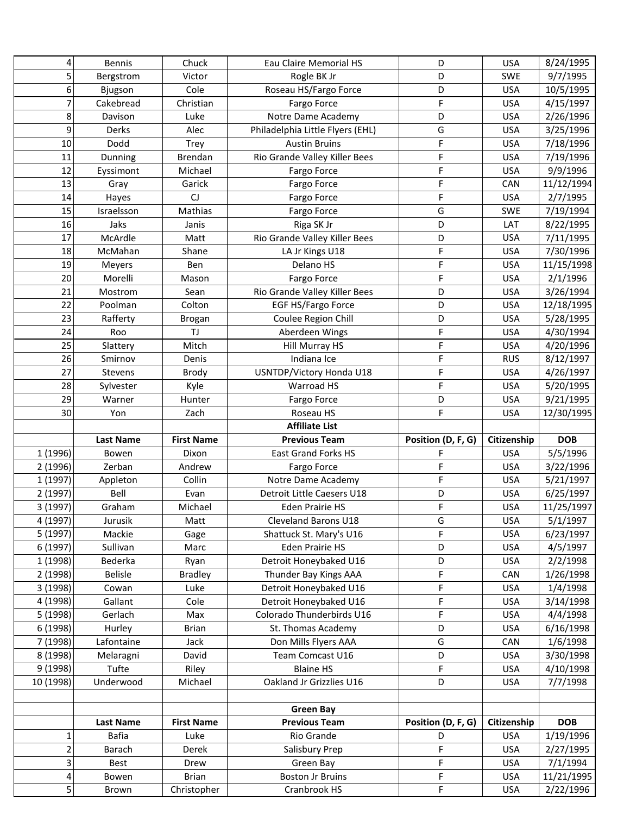| 4                   | <b>Bennis</b>    | Chuck                       | Eau Claire Memorial HS                  | D                  | <b>USA</b>               | 8/24/1995               |
|---------------------|------------------|-----------------------------|-----------------------------------------|--------------------|--------------------------|-------------------------|
| 5                   | Bergstrom        | Victor                      | Rogle BK Jr                             | D                  | <b>SWE</b>               | 9/7/1995                |
| 6                   | Bjugson          | Cole                        | Roseau HS/Fargo Force                   | D                  | <b>USA</b>               | 10/5/1995               |
| 7                   | Cakebread        | Christian                   | Fargo Force                             | F                  | <b>USA</b>               | 4/15/1997               |
| 8                   | Davison          | Luke                        | Notre Dame Academy                      | D                  | <b>USA</b>               | 2/26/1996               |
| 9                   | Derks            | Alec                        | Philadelphia Little Flyers (EHL)        | G                  | <b>USA</b>               | 3/25/1996               |
| 10                  | Dodd             | Trey                        | <b>Austin Bruins</b>                    | F                  | <b>USA</b>               | 7/18/1996               |
| 11                  | Dunning          | Brendan                     | Rio Grande Valley Killer Bees           | F                  | <b>USA</b>               | 7/19/1996               |
| 12                  | Eyssimont        | Michael                     | Fargo Force                             | F                  | <b>USA</b>               | 9/9/1996                |
| 13                  | Gray             | Garick                      | Fargo Force                             | F                  | CAN                      | 11/12/1994              |
| 14                  | Hayes            | CJ                          | Fargo Force                             | F                  | <b>USA</b>               | 2/7/1995                |
| 15                  | Israelsson       | Mathias                     | Fargo Force                             | G                  | SWE                      | 7/19/1994               |
| 16                  | Jaks             | Janis                       | Riga SK Jr                              | D                  | LAT                      | 8/22/1995               |
| 17                  | McArdle          | Matt                        | Rio Grande Valley Killer Bees           | D                  | <b>USA</b>               | 7/11/1995               |
| 18                  | McMahan          | Shane                       | LA Jr Kings U18                         | F                  | <b>USA</b>               | 7/30/1996               |
| 19                  | Meyers           | Ben                         | Delano HS                               | F                  | <b>USA</b>               | 11/15/1998              |
| 20                  | Morelli          | Mason                       | Fargo Force                             | F                  | <b>USA</b>               | 2/1/1996                |
| 21                  | Mostrom          | Sean                        | Rio Grande Valley Killer Bees           | D                  | <b>USA</b>               | 3/26/1994               |
| 22                  | Poolman          | Colton                      | EGF HS/Fargo Force                      | D                  | <b>USA</b>               | 12/18/1995              |
| 23                  | Rafferty         | <b>Brogan</b>               | Coulee Region Chill                     | D                  | <b>USA</b>               | 5/28/1995               |
| 24                  | Roo              | TJ                          | Aberdeen Wings                          | F                  | <b>USA</b>               | 4/30/1994               |
| 25                  | Slattery         | Mitch                       | Hill Murray HS                          | F                  | <b>USA</b>               | 4/20/1996               |
| 26                  | Smirnov          | Denis                       | Indiana Ice                             | F                  | <b>RUS</b>               | 8/12/1997               |
| 27                  | Stevens          | Brody                       | USNTDP/Victory Honda U18                | F                  | <b>USA</b>               | 4/26/1997               |
| 28                  | Sylvester        | Kyle                        | Warroad HS                              | F                  | <b>USA</b>               | 5/20/1995               |
| 29                  | Warner           | Hunter                      | Fargo Force                             | D                  | <b>USA</b>               | 9/21/1995               |
| 30                  | Yon              | Zach                        | Roseau HS                               | F                  | <b>USA</b>               | 12/30/1995              |
|                     |                  |                             | <b>Affiliate List</b>                   |                    |                          |                         |
|                     | <b>Last Name</b> | <b>First Name</b>           | <b>Previous Team</b>                    | Position (D, F, G) | Citizenship              | <b>DOB</b>              |
| 1 (1996)            | Bowen            | Dixon                       | <b>East Grand Forks HS</b>              | F                  | <b>USA</b>               | 5/5/1996                |
| 2 (1996)            | Zerban           | Andrew                      | Fargo Force                             | F                  | <b>USA</b>               | 3/22/1996               |
| 1 (1997)            | Appleton         | Collin                      | Notre Dame Academy                      | F                  | <b>USA</b>               | 5/21/1997               |
| 2 (1997)            | Bell             | Evan                        | Detroit Little Caesers U18              | D                  | <b>USA</b>               | 6/25/1997               |
| 3 (1997)            | Graham           | Michael                     | <b>Eden Prairie HS</b>                  | F                  | <b>USA</b>               | 11/25/1997              |
| 4 (1997)            | Jurusik          | Matt                        | Cleveland Barons U18                    | G                  | <b>USA</b>               | 5/1/1997                |
| 5(1997)             | Mackie           | Gage                        | Shattuck St. Mary's U16                 | F                  | <b>USA</b>               | 6/23/1997               |
| 6 (1997)            | Sullivan         | Marc                        | <b>Eden Prairie HS</b>                  | D                  | <b>USA</b>               | 4/5/1997                |
| 1 (1998)            | Bederka          |                             |                                         |                    |                          |                         |
| 2 (1998)            |                  | Ryan                        | Detroit Honeybaked U16                  | D                  | <b>USA</b>               | 2/2/1998                |
|                     | <b>Belisle</b>   | <b>Bradley</b>              | Thunder Bay Kings AAA                   | F                  | CAN                      | 1/26/1998               |
| 3 (1998)            | Cowan            | Luke                        | Detroit Honeybaked U16                  | F                  | <b>USA</b>               | 1/4/1998                |
| 4 (1998)            | Gallant          | Cole                        | Detroit Honeybaked U16                  | F                  | <b>USA</b>               | 3/14/1998               |
| 5 (1998)            | Gerlach          | Max                         | Colorado Thunderbirds U16               | F                  | <b>USA</b>               | 4/4/1998                |
| 6 (1998)            | Hurley           | <b>Brian</b>                | St. Thomas Academy                      | D                  | <b>USA</b>               | 6/16/1998               |
| 7 (1998)            | Lafontaine       | Jack                        | Don Mills Flyers AAA                    | G                  | CAN                      | 1/6/1998                |
| 8 (1998)            | Melaragni        | David                       | Team Comcast U16                        | D                  | <b>USA</b>               | 3/30/1998               |
| 9 (1998)            | Tufte            | Riley                       | <b>Blaine HS</b>                        | F                  | <b>USA</b>               | 4/10/1998               |
| 10 (1998)           | Underwood        | Michael                     | Oakland Jr Grizzlies U16                | D                  | <b>USA</b>               | 7/7/1998                |
|                     |                  |                             |                                         |                    |                          |                         |
|                     |                  |                             | <b>Green Bay</b>                        |                    |                          |                         |
|                     | Last Name        | <b>First Name</b>           | <b>Previous Team</b>                    | Position (D, F, G) | Citizenship              | <b>DOB</b>              |
| $\mathbf 1$         | <b>Bafia</b>     | Luke                        | Rio Grande                              | D                  | <b>USA</b>               | 1/19/1996               |
| $\overline{2}$      | Barach           | Derek                       | Salisbury Prep                          | F                  | <b>USA</b>               | 2/27/1995               |
| 3                   | Best             | Drew                        | Green Bay                               | F                  | <b>USA</b>               | 7/1/1994                |
| 4<br>$\overline{5}$ | Bowen<br>Brown   | <b>Brian</b><br>Christopher | <b>Boston Jr Bruins</b><br>Cranbrook HS | F<br>F             | <b>USA</b><br><b>USA</b> | 11/21/1995<br>2/22/1996 |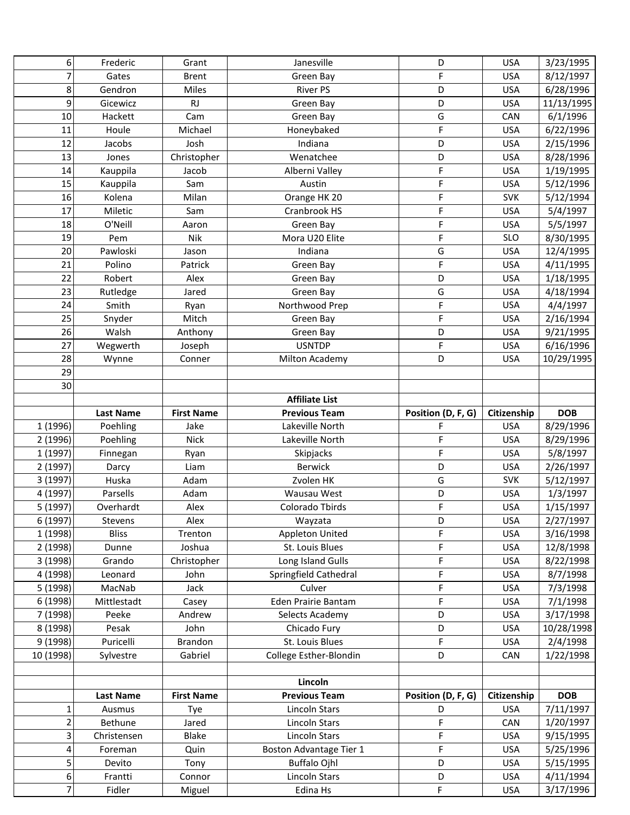| 6                    | Frederic                | Grant               | Janesville                                     | D                  | <b>USA</b>               | 3/23/1995              |
|----------------------|-------------------------|---------------------|------------------------------------------------|--------------------|--------------------------|------------------------|
| $\overline{7}$       | Gates                   | <b>Brent</b>        | Green Bay                                      | F                  | <b>USA</b>               | 8/12/1997              |
| 8                    | Gendron                 | Miles               | <b>River PS</b>                                | D                  | <b>USA</b>               | 6/28/1996              |
| 9                    | Gicewicz                | <b>RJ</b>           | Green Bay                                      | D                  | <b>USA</b>               | 11/13/1995             |
| 10                   | Hackett                 | Cam                 | Green Bay                                      | G                  | CAN                      | 6/1/1996               |
| 11                   | Houle                   | Michael             | Honeybaked                                     | F                  | <b>USA</b>               | 6/22/1996              |
| 12                   | Jacobs                  | Josh                | Indiana                                        | D                  | <b>USA</b>               | 2/15/1996              |
| 13                   | Jones                   | Christopher         | Wenatchee                                      | D                  | <b>USA</b>               | 8/28/1996              |
| 14                   | Kauppila                | Jacob               | Alberni Valley                                 | F                  | <b>USA</b>               | 1/19/1995              |
| 15                   | Kauppila                | Sam                 | Austin                                         | F                  | <b>USA</b>               | 5/12/1996              |
| 16                   | Kolena                  | Milan               | Orange HK 20                                   | F                  | <b>SVK</b>               | 5/12/1994              |
| 17                   | Miletic                 | Sam                 | Cranbrook HS                                   | F                  | <b>USA</b>               | 5/4/1997               |
| 18                   | O'Neill                 | Aaron               | Green Bay                                      | F                  | <b>USA</b>               | 5/5/1997               |
| 19                   | Pem                     | Nik                 | Mora U20 Elite                                 | F                  | <b>SLO</b>               | 8/30/1995              |
| 20                   | Pawloski                | Jason               | Indiana                                        | G                  | <b>USA</b>               | 12/4/1995              |
| 21                   | Polino                  | Patrick             | Green Bay                                      | F                  | <b>USA</b>               | 4/11/1995              |
| 22                   | Robert                  | Alex                | Green Bay                                      | D                  | <b>USA</b>               | 1/18/1995              |
| 23                   | Rutledge                | Jared               | Green Bay                                      | G                  | <b>USA</b>               | 4/18/1994              |
| 24                   | Smith                   | Ryan                | Northwood Prep                                 | F                  | <b>USA</b>               | 4/4/1997               |
| 25                   | Snyder                  | Mitch               | Green Bay                                      | F                  | <b>USA</b>               | 2/16/1994              |
| 26                   | Walsh                   | Anthony             | Green Bay                                      | D                  | <b>USA</b>               | 9/21/1995              |
| 27                   | Wegwerth                | Joseph              | <b>USNTDP</b>                                  | F                  | <b>USA</b>               | 6/16/1996              |
| 28                   | Wynne                   | Conner              | Milton Academy                                 | D                  | <b>USA</b>               | 10/29/1995             |
| 29                   |                         |                     |                                                |                    |                          |                        |
| 30                   |                         |                     |                                                |                    |                          |                        |
|                      |                         |                     | <b>Affiliate List</b>                          |                    |                          |                        |
|                      | <b>Last Name</b>        | <b>First Name</b>   | <b>Previous Team</b>                           | Position (D, F, G) | Citizenship              | <b>DOB</b>             |
| 1 (1996)             | Poehling                | Jake                | Lakeville North                                | F                  | <b>USA</b>               | 8/29/1996              |
|                      |                         |                     |                                                |                    |                          |                        |
| 2 (1996)             | Poehling                | <b>Nick</b>         | Lakeville North                                | F                  | <b>USA</b>               | 8/29/1996              |
|                      |                         |                     |                                                | F                  | <b>USA</b>               |                        |
| 1 (1997)             | Finnegan                | Ryan<br>Liam        | Skipjacks<br>Berwick                           | D                  | <b>USA</b>               | 5/8/1997               |
| 2 (1997)             | Darcy<br>Huska          | Adam                | Zvolen HK                                      | G                  | <b>SVK</b>               | 2/26/1997              |
| 3 (1997)             | Parsells                | Adam                | Wausau West                                    | D                  | <b>USA</b>               | 5/12/1997              |
| 4 (1997)             |                         |                     |                                                | F                  |                          | 1/3/1997               |
| 5 (1997)             | Overhardt               | Alex                | Colorado Tbirds                                | D                  | <b>USA</b>               | 1/15/1997              |
| 6 (1997)             | Stevens<br><b>Bliss</b> | Alex                | Wayzata                                        | F                  | <b>USA</b><br><b>USA</b> | 2/27/1997              |
| 1 (1998)             | Dunne                   | Trenton<br>Joshua   | <b>Appleton United</b><br>St. Louis Blues      | F                  | <b>USA</b>               | 3/16/1998              |
| 2 (1998)<br>3 (1998) |                         |                     |                                                | F                  | <b>USA</b>               | 12/8/1998              |
| 4 (1998)             | Grando                  | Christopher<br>John | Long Island Gulls                              | F                  | <b>USA</b>               | 8/22/1998              |
|                      | Leonard<br>MacNab       | Jack                | Springfield Cathedral<br>Culver                | F                  | <b>USA</b>               | 8/7/1998               |
| 5 (1998)             | Mittlestadt             | Casey               | Eden Prairie Bantam                            | F                  | <b>USA</b>               | 7/3/1998               |
| 6 (1998)             | Peeke                   | Andrew              | Selects Academy                                | D                  | <b>USA</b>               | 7/1/1998               |
| 7 (1998)             |                         |                     |                                                | D                  |                          | 3/17/1998              |
| 8 (1998)             | Pesak                   | John                | Chicado Fury                                   | F                  | <b>USA</b>               | 10/28/1998             |
| 9 (1998)             | Puricelli               | Brandon             | St. Louis Blues                                | D                  | <b>USA</b>               | 2/4/1998               |
| 10 (1998)            | Sylvestre               | Gabriel             | College Esther-Blondin                         |                    | CAN                      | 1/22/1998              |
|                      |                         |                     | Lincoln                                        |                    |                          |                        |
|                      | <b>Last Name</b>        | <b>First Name</b>   | <b>Previous Team</b>                           | Position (D, F, G) | Citizenship              | <b>DOB</b>             |
| $\mathbf 1$          | Ausmus                  | Tye                 | Lincoln Stars                                  | D                  | <b>USA</b>               | 7/11/1997              |
| $\overline{2}$       | Bethune                 | Jared               | Lincoln Stars                                  | F                  | CAN                      | 1/20/1997              |
| 3                    | Christensen             | Blake               | Lincoln Stars                                  | F                  | <b>USA</b>               |                        |
| 4                    | Foreman                 | Quin                |                                                | F                  | <b>USA</b>               | 9/15/1995              |
| 5                    | Devito                  | Tony                | Boston Advantage Tier 1<br><b>Buffalo Ojhl</b> | D                  | <b>USA</b>               | 5/25/1996<br>5/15/1995 |
| 6                    | Frantti                 | Connor              | Lincoln Stars                                  | D                  | <b>USA</b>               | 4/11/1994              |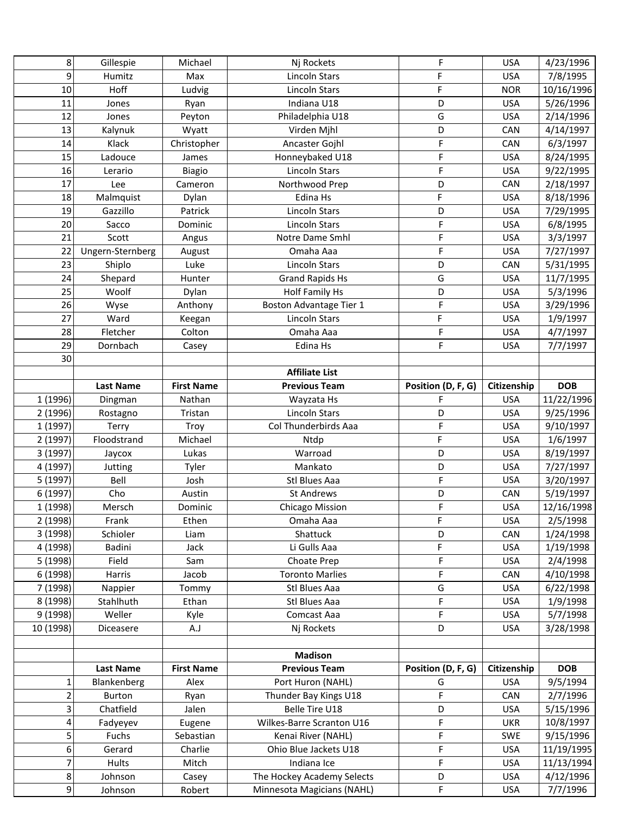| 8              | Gillespie        | Michael           | Nj Rockets                 | F                  | <b>USA</b>  | 4/23/1996  |
|----------------|------------------|-------------------|----------------------------|--------------------|-------------|------------|
| 9              | Humitz           | Max               | <b>Lincoln Stars</b>       | F                  | <b>USA</b>  | 7/8/1995   |
| 10             | Hoff             | Ludvig            | Lincoln Stars              | F                  | <b>NOR</b>  | 10/16/1996 |
| 11             | Jones            | Ryan              | Indiana U18                | D                  | <b>USA</b>  | 5/26/1996  |
| 12             | Jones            | Peyton            | Philadelphia U18           | G                  | <b>USA</b>  | 2/14/1996  |
| 13             | Kalynuk          | Wyatt             | Virden Mjhl                | D                  | CAN         | 4/14/1997  |
| 14             | Klack            | Christopher       | Ancaster Gojhl             | F                  | CAN         | 6/3/1997   |
| 15             | Ladouce          | James             | Honneybaked U18            | F                  | <b>USA</b>  | 8/24/1995  |
| 16             | Lerario          | <b>Biagio</b>     | <b>Lincoln Stars</b>       | F                  | <b>USA</b>  | 9/22/1995  |
| 17             | Lee              | Cameron           | Northwood Prep             | D                  | CAN         | 2/18/1997  |
| 18             | Malmquist        | Dylan             | Edina Hs                   | F                  | <b>USA</b>  | 8/18/1996  |
| 19             | Gazzillo         | Patrick           | <b>Lincoln Stars</b>       | D                  | <b>USA</b>  | 7/29/1995  |
| 20             | Sacco            | Dominic           | <b>Lincoln Stars</b>       | F                  | <b>USA</b>  | 6/8/1995   |
| 21             | Scott            | Angus             | Notre Dame Smhl            | F                  | <b>USA</b>  | 3/3/1997   |
| 22             | Ungern-Sternberg | August            | Omaha Aaa                  | F                  | <b>USA</b>  | 7/27/1997  |
| 23             | Shiplo           | Luke              | <b>Lincoln Stars</b>       | D                  | CAN         | 5/31/1995  |
| 24             | Shepard          | Hunter            | <b>Grand Rapids Hs</b>     | G                  | <b>USA</b>  | 11/7/1995  |
| 25             | Woolf            | Dylan             | <b>Holf Family Hs</b>      | D                  | <b>USA</b>  | 5/3/1996   |
| 26             | Wyse             | Anthony           | Boston Advantage Tier 1    | F                  | <b>USA</b>  | 3/29/1996  |
| 27             | Ward             | Keegan            | <b>Lincoln Stars</b>       | F                  | <b>USA</b>  | 1/9/1997   |
| 28             | Fletcher         | Colton            | Omaha Aaa                  | F                  | <b>USA</b>  | 4/7/1997   |
| 29             | Dornbach         | Casey             | Edina Hs                   | F                  | <b>USA</b>  | 7/7/1997   |
| 30             |                  |                   |                            |                    |             |            |
|                |                  |                   | <b>Affiliate List</b>      |                    |             |            |
|                | <b>Last Name</b> | <b>First Name</b> | <b>Previous Team</b>       | Position (D, F, G) | Citizenship | <b>DOB</b> |
| 1 (1996)       | Dingman          | Nathan            | Wayzata Hs                 | F                  | <b>USA</b>  | 11/22/1996 |
| 2 (1996)       | Rostagno         | Tristan           | <b>Lincoln Stars</b>       | D                  | <b>USA</b>  | 9/25/1996  |
| 1 (1997)       | Terry            | Troy              | Col Thunderbirds Aaa       | F                  | <b>USA</b>  | 9/10/1997  |
| 2 (1997)       | Floodstrand      | Michael           | Ntdp                       | F                  | <b>USA</b>  | 1/6/1997   |
| 3 (1997)       | Jaycox           | Lukas             | Warroad                    | D                  | <b>USA</b>  | 8/19/1997  |
| 4 (1997)       | Jutting          | Tyler             | Mankato                    | D                  | <b>USA</b>  | 7/27/1997  |
| 5 (1997)       | Bell             | Josh              | Stl Blues Aaa              | F                  | <b>USA</b>  | 3/20/1997  |
| 6 (1997)       | Cho              | Austin            | <b>St Andrews</b>          | D                  | CAN         | 5/19/1997  |
| 1 (1998)       | Mersch           | Dominic           | <b>Chicago Mission</b>     | F                  | <b>USA</b>  | 12/16/1998 |
| 2 (1998)       | Frank            | Ethen             | Omaha Aaa                  | F                  | <b>USA</b>  | 2/5/1998   |
| 3 (1998)       | Schioler         | Liam              | Shattuck                   | D                  | CAN         | 1/24/1998  |
| 4 (1998)       | Badini           | Jack              | Li Gulls Aaa               | F                  | <b>USA</b>  | 1/19/1998  |
| 5 (1998)       | Field            | Sam               | Choate Prep                | F                  | <b>USA</b>  | 2/4/1998   |
| 6 (1998)       | Harris           | Jacob             | <b>Toronto Marlies</b>     | F                  | CAN         | 4/10/1998  |
| 7 (1998)       | Nappier          | Tommy             | Stl Blues Aaa              | G                  | <b>USA</b>  | 6/22/1998  |
| 8 (1998)       | Stahlhuth        | Ethan             | Stl Blues Aaa              | F                  | <b>USA</b>  | 1/9/1998   |
| 9 (1998)       | Weller           | Kyle              | Comcast Aaa                | F.                 | <b>USA</b>  | 5/7/1998   |
| 10 (1998)      | Diceasere        | A.J               | Nj Rockets                 | D                  | <b>USA</b>  | 3/28/1998  |
|                |                  |                   |                            |                    |             |            |
|                |                  |                   | <b>Madison</b>             |                    |             |            |
|                | <b>Last Name</b> | <b>First Name</b> | <b>Previous Team</b>       | Position (D, F, G) | Citizenship | <b>DOB</b> |
| $\mathbf{1}$   | Blankenberg      | Alex              | Port Huron (NAHL)          | G                  | <b>USA</b>  | 9/5/1994   |
| $\overline{2}$ | <b>Burton</b>    | Ryan              | Thunder Bay Kings U18      | F                  | CAN         | 2/7/1996   |
| 3              | Chatfield        | Jalen             | Belle Tire U18             | D                  | <b>USA</b>  | 5/15/1996  |
| 4              | Fadyeyev         | Eugene            | Wilkes-Barre Scranton U16  | F                  | <b>UKR</b>  | 10/8/1997  |
| 5              | Fuchs            | Sebastian         | Kenai River (NAHL)         | F                  | <b>SWE</b>  | 9/15/1996  |
| 6              | Gerard           | Charlie           | Ohio Blue Jackets U18      | F                  | <b>USA</b>  | 11/19/1995 |
| $\overline{7}$ | Hults            | Mitch             | Indiana Ice                | F.                 | <b>USA</b>  | 11/13/1994 |
| 8              | Johnson          | Casey             | The Hockey Academy Selects | D                  | <b>USA</b>  | 4/12/1996  |
| 9              | Johnson          | Robert            | Minnesota Magicians (NAHL) | F                  | <b>USA</b>  | 7/7/1996   |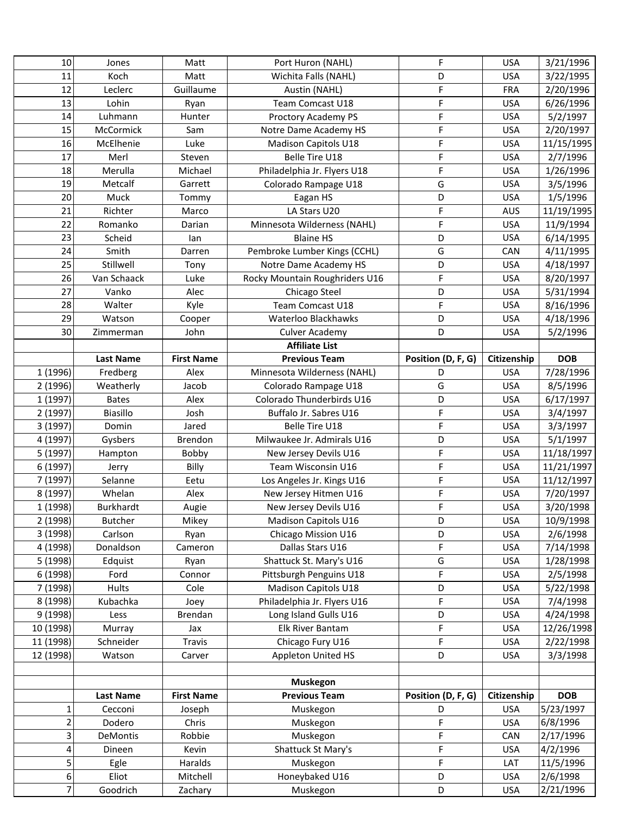| 10                  | Jones            | Matt              | Port Huron (NAHL)              | F                  | <b>USA</b>  | 3/21/1996  |
|---------------------|------------------|-------------------|--------------------------------|--------------------|-------------|------------|
| 11                  | Koch             | Matt              | Wichita Falls (NAHL)           | D                  | <b>USA</b>  | 3/22/1995  |
| 12                  | Leclerc          | Guillaume         | Austin (NAHL)                  | F                  | FRA         | 2/20/1996  |
| 13                  | Lohin            | Ryan              | Team Comcast U18               | F                  | <b>USA</b>  | 6/26/1996  |
| 14                  | Luhmann          | Hunter            | Proctory Academy PS            | F                  | <b>USA</b>  | 5/2/1997   |
| 15                  | McCormick        | Sam               | Notre Dame Academy HS          | F                  | <b>USA</b>  | 2/20/1997  |
| 16                  | McElhenie        | Luke              | Madison Capitols U18           | F                  | <b>USA</b>  | 11/15/1995 |
| 17                  | Merl             | Steven            | Belle Tire U18                 | F                  | <b>USA</b>  | 2/7/1996   |
| 18                  | Merulla          | Michael           | Philadelphia Jr. Flyers U18    | F                  | <b>USA</b>  | 1/26/1996  |
| 19                  | Metcalf          | Garrett           | Colorado Rampage U18           | G                  | <b>USA</b>  | 3/5/1996   |
| 20                  | Muck             | Tommy             | Eagan HS                       | D                  | <b>USA</b>  | 1/5/1996   |
| 21                  | Richter          | Marco             | LA Stars U20                   | F                  | AUS         | 11/19/1995 |
| 22                  | Romanko          | Darian            | Minnesota Wilderness (NAHL)    | F                  | <b>USA</b>  | 11/9/1994  |
| 23                  | Scheid           | lan               | <b>Blaine HS</b>               | D                  | <b>USA</b>  | 6/14/1995  |
| 24                  | Smith            | Darren            | Pembroke Lumber Kings (CCHL)   | G                  | CAN         | 4/11/1995  |
| 25                  | Stillwell        | Tony              | Notre Dame Academy HS          | D                  | <b>USA</b>  | 4/18/1997  |
| 26                  | Van Schaack      | Luke              | Rocky Mountain Roughriders U16 | F                  | <b>USA</b>  | 8/20/1997  |
| 27                  | Vanko            | Alec              | Chicago Steel                  | D                  | <b>USA</b>  | 5/31/1994  |
| 28                  | Walter           | Kyle              | Team Comcast U18               | F                  | <b>USA</b>  | 8/16/1996  |
| 29                  | Watson           | Cooper            | Waterloo Blackhawks            | D                  | <b>USA</b>  | 4/18/1996  |
| 30                  | Zimmerman        | John              | <b>Culver Academy</b>          | D                  | <b>USA</b>  | 5/2/1996   |
|                     |                  |                   | <b>Affiliate List</b>          |                    |             |            |
|                     | <b>Last Name</b> | <b>First Name</b> | <b>Previous Team</b>           | Position (D, F, G) | Citizenship | <b>DOB</b> |
| 1 (1996)            | Fredberg         | Alex              | Minnesota Wilderness (NAHL)    | D                  | <b>USA</b>  | 7/28/1996  |
| 2 (1996)            | Weatherly        | Jacob             | Colorado Rampage U18           | G                  | <b>USA</b>  | 8/5/1996   |
| 1 (1997)            | <b>Bates</b>     | Alex              | Colorado Thunderbirds U16      | D                  | <b>USA</b>  | 6/17/1997  |
| 2 (1997)            | Biasillo         | Josh              | Buffalo Jr. Sabres U16         | F                  | <b>USA</b>  | 3/4/1997   |
| 3 (1997)            | Domin            | Jared             | Belle Tire U18                 | F                  | <b>USA</b>  | 3/3/1997   |
| 4 (1997)            | Gysbers          | Brendon           | Milwaukee Jr. Admirals U16     | D                  | <b>USA</b>  | 5/1/1997   |
| 5 (1997)            | Hampton          | Bobby             | New Jersey Devils U16          | F                  | <b>USA</b>  | 11/18/1997 |
| 6 (1997)            | Jerry            | Billy             | Team Wisconsin U16             | F                  | <b>USA</b>  | 11/21/1997 |
| 7 (1997)            | Selanne          | Eetu              | Los Angeles Jr. Kings U16      | F                  | <b>USA</b>  | 11/12/1997 |
| 8 (1997)            | Whelan           | Alex              | New Jersey Hitmen U16          | F                  | <b>USA</b>  | 7/20/1997  |
| 1 (1998)            | <b>Burkhardt</b> | Augie             | New Jersey Devils U16          | F                  | <b>USA</b>  | 3/20/1998  |
| 2 (1998)            | <b>Butcher</b>   | Mikey             | Madison Capitols U16           | D                  | <b>USA</b>  | 10/9/1998  |
| 3 (1998)            | Carlson          | Ryan              | Chicago Mission U16            | D                  | <b>USA</b>  | 2/6/1998   |
| 4 (1998)            | Donaldson        | Cameron           | Dallas Stars U16               | F                  | <b>USA</b>  | 7/14/1998  |
| 5 (1998)            | Edquist          | Ryan              | Shattuck St. Mary's U16        | G                  | <b>USA</b>  | 1/28/1998  |
| 6 (1998)            | Ford             | Connor            | Pittsburgh Penguins U18        | F                  | <b>USA</b>  | 2/5/1998   |
| 7 (1998)            | <b>Hults</b>     | Cole              | Madison Capitols U18           | D                  | <b>USA</b>  | 5/22/1998  |
| 8 (1998)            | Kubachka         | Joey              | Philadelphia Jr. Flyers U16    | F                  | <b>USA</b>  | 7/4/1998   |
| 9 (1998)            | Less             | Brendan           | Long Island Gulls U16          | D                  | <b>USA</b>  | 4/24/1998  |
| 10 (1998)           | Murray           | Jax               | Elk River Bantam               | F                  | <b>USA</b>  | 12/26/1998 |
| 11 (1998)           | Schneider        | Travis            | Chicago Fury U16               | F                  | <b>USA</b>  | 2/22/1998  |
| 12 (1998)           | Watson           | Carver            | Appleton United HS             | D                  | <b>USA</b>  | 3/3/1998   |
|                     |                  |                   |                                |                    |             |            |
|                     |                  |                   | <b>Muskegon</b>                |                    |             |            |
|                     | <b>Last Name</b> | <b>First Name</b> | <b>Previous Team</b>           | Position (D, F, G) | Citizenship | <b>DOB</b> |
| $\mathbf{1}$        | Cecconi          | Joseph            | Muskegon                       | D                  | <b>USA</b>  | 5/23/1997  |
| $\mathbf 2$         | Dodero           | Chris             | Muskegon                       | F                  | <b>USA</b>  | 6/8/1996   |
| 3                   | DeMontis         | Robbie            | Muskegon                       | F                  | CAN         | 2/17/1996  |
|                     |                  |                   |                                |                    |             |            |
| 4                   | Dineen           | Kevin             | Shattuck St Mary's             | F                  | <b>USA</b>  | 4/2/1996   |
| 5                   | Egle             | Haralds           | Muskegon                       | F                  | LAT         | 11/5/1996  |
| 6<br>$\overline{7}$ | Eliot            | Mitchell          | Honeybaked U16                 | D                  | <b>USA</b>  | 2/6/1998   |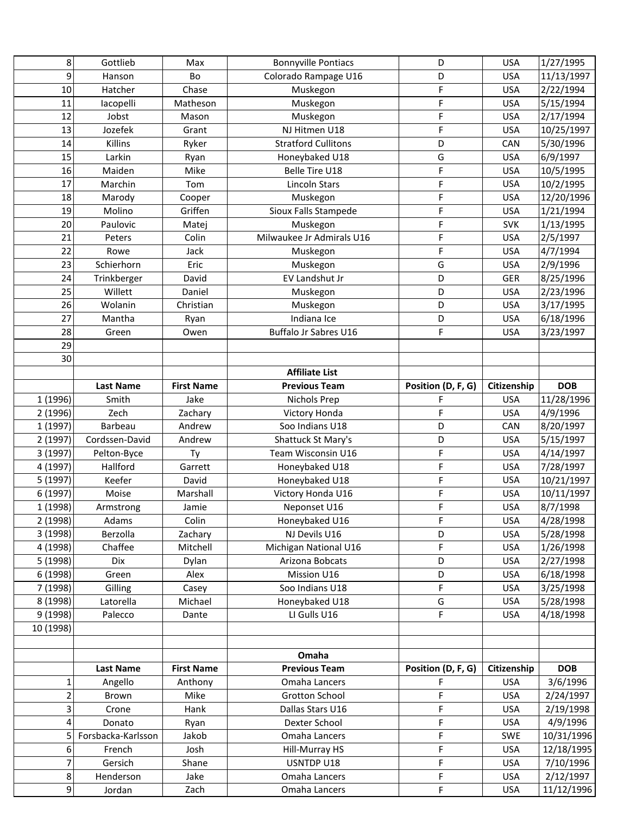| 8                     | Gottlieb           | Max               | <b>Bonnyville Pontiacs</b> | D                  | <b>USA</b>  | 1/27/1995  |
|-----------------------|--------------------|-------------------|----------------------------|--------------------|-------------|------------|
| 9                     | Hanson             | Bo                | Colorado Rampage U16       | D                  | <b>USA</b>  | 11/13/1997 |
| 10                    | Hatcher            | Chase             | Muskegon                   | F                  | <b>USA</b>  | 2/22/1994  |
| 11                    | lacopelli          | Matheson          | Muskegon                   | F                  | <b>USA</b>  | 5/15/1994  |
| 12                    | Jobst              | Mason             | Muskegon                   | F                  | <b>USA</b>  | 2/17/1994  |
| 13                    | Jozefek            | Grant             | NJ Hitmen U18              | F                  | <b>USA</b>  | 10/25/1997 |
| 14                    | Killins            | Ryker             | <b>Stratford Cullitons</b> | D                  | CAN         | 5/30/1996  |
| 15                    | Larkin             | Ryan              | Honeybaked U18             | G                  | <b>USA</b>  | 6/9/1997   |
| 16                    | Maiden             | Mike              | Belle Tire U18             | F                  | <b>USA</b>  | 10/5/1995  |
| 17                    | Marchin            | Tom               | <b>Lincoln Stars</b>       | F                  | <b>USA</b>  | 10/2/1995  |
| 18                    | Marody             | Cooper            | Muskegon                   | F                  | <b>USA</b>  | 12/20/1996 |
| 19                    | Molino             | Griffen           | Sioux Falls Stampede       | F                  | <b>USA</b>  | 1/21/1994  |
| 20                    | Paulovic           | Matej             | Muskegon                   | F                  | <b>SVK</b>  | 1/13/1995  |
| 21                    | Peters             | Colin             | Milwaukee Jr Admirals U16  | F                  | <b>USA</b>  | 2/5/1997   |
| 22                    | Rowe               | Jack              | Muskegon                   | F                  | <b>USA</b>  | 4/7/1994   |
| 23                    | Schierhorn         | Eric              | Muskegon                   | G                  | <b>USA</b>  | 2/9/1996   |
| 24                    | Trinkberger        | David             | EV Landshut Jr             | D                  | <b>GER</b>  | 8/25/1996  |
| 25                    | Willett            | Daniel            | Muskegon                   | D                  | <b>USA</b>  | 2/23/1996  |
| 26                    | Wolanin            | Christian         | Muskegon                   | D                  | <b>USA</b>  | 3/17/1995  |
| 27                    | Mantha             | Ryan              | Indiana Ice                | D                  | <b>USA</b>  | 6/18/1996  |
| 28                    | Green              | Owen              | Buffalo Jr Sabres U16      | F                  | <b>USA</b>  | 3/23/1997  |
| 29                    |                    |                   |                            |                    |             |            |
| 30                    |                    |                   |                            |                    |             |            |
|                       |                    |                   | <b>Affiliate List</b>      |                    |             |            |
|                       | <b>Last Name</b>   | <b>First Name</b> | <b>Previous Team</b>       | Position (D, F, G) | Citizenship | <b>DOB</b> |
| 1 (1996)              | Smith              | Jake              | <b>Nichols Prep</b>        | F                  | <b>USA</b>  | 11/28/1996 |
| 2 (1996)              | Zech               | Zachary           | Victory Honda              | F                  | <b>USA</b>  | 4/9/1996   |
| 1 (1997)              | Barbeau            | Andrew            | Soo Indians U18            | D                  | CAN         | 8/20/1997  |
| 2 (1997)              | Cordssen-David     | Andrew            | Shattuck St Mary's         | D                  | <b>USA</b>  | 5/15/1997  |
| 3 (1997)              | Pelton-Byce        | Ty                | Team Wisconsin U16         | F                  | <b>USA</b>  | 4/14/1997  |
| 4 (1997)              | Hallford           | Garrett           | Honeybaked U18             | F                  | <b>USA</b>  | 7/28/1997  |
| 5 (1997)              | Keefer             | David             | Honeybaked U18             | F                  | <b>USA</b>  | 10/21/1997 |
| 6 (1997)              | Moise              | Marshall          | Victory Honda U16          | F                  | <b>USA</b>  | 10/11/1997 |
| 1 (1998)              | Armstrong          | Jamie             | Neponset U16               | F                  | <b>USA</b>  | 8/7/1998   |
| 2 (1998)              | Adams              | Colin             | Honeybaked U16             | F                  | <b>USA</b>  | 4/28/1998  |
| 3 (1998)              | Berzolla           | Zachary           | NJ Devils U16              | D                  | <b>USA</b>  | 5/28/1998  |
| 4 (1998)              | Chaffee            | Mitchell          | Michigan National U16      | F.                 | <b>USA</b>  | 1/26/1998  |
| 5 (1998)              | Dix                | Dylan             | Arizona Bobcats            | D                  | <b>USA</b>  | 2/27/1998  |
| 6 (1998)              | Green              | Alex              | Mission U16                | D                  | <b>USA</b>  | 6/18/1998  |
| 7 (1998)              | Gilling            | Casey             | Soo Indians U18            | F.                 | <b>USA</b>  | 3/25/1998  |
| 8 (1998)              | Latorella          | Michael           | Honeybaked U18             | G                  | <b>USA</b>  | 5/28/1998  |
| 9 (1998)              | Palecco            | Dante             | LI Gulls U16               | F.                 | <b>USA</b>  | 4/18/1998  |
| 10 (1998)             |                    |                   |                            |                    |             |            |
|                       |                    |                   |                            |                    |             |            |
|                       |                    |                   | Omaha                      |                    |             |            |
|                       | <b>Last Name</b>   | <b>First Name</b> | <b>Previous Team</b>       | Position (D, F, G) | Citizenship | <b>DOB</b> |
| $\mathbf{1}$          | Angello            | Anthony           | Omaha Lancers              | F                  | <b>USA</b>  | 3/6/1996   |
| $\overline{2}$        | Brown              | Mike              | <b>Grotton School</b>      | F                  | <b>USA</b>  | 2/24/1997  |
| 3                     |                    |                   |                            |                    |             |            |
|                       | Crone              | Hank              | Dallas Stars U16           | F                  | <b>USA</b>  | 2/19/1998  |
| 4                     | Donato             | Ryan              | Dexter School              | F                  | <b>USA</b>  | 4/9/1996   |
| 5                     | Forsbacka-Karlsson | Jakob             | Omaha Lancers              | F                  | <b>SWE</b>  | 10/31/1996 |
| 6                     | French             | Josh              | Hill-Murray HS             | F                  | <b>USA</b>  | 12/18/1995 |
| $\overline{7}$        | Gersich            | Shane             | USNTDP U18                 | F.                 | <b>USA</b>  | 7/10/1996  |
| 8<br>$\boldsymbol{9}$ | Henderson          | Jake              | Omaha Lancers              | F<br>F             | <b>USA</b>  | 2/12/1997  |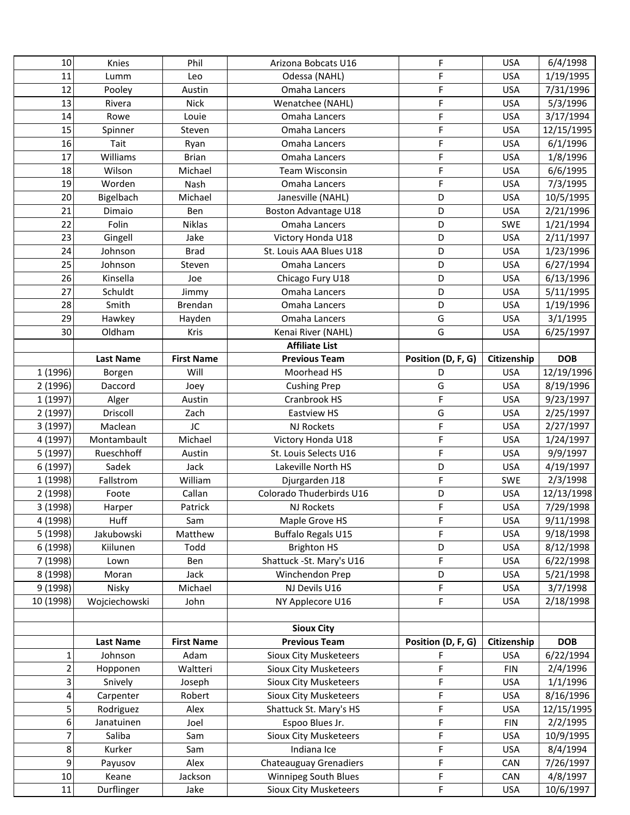| 10             | Knies            | Phil              | Arizona Bobcats U16           | F                  | <b>USA</b>  | 6/4/1998   |
|----------------|------------------|-------------------|-------------------------------|--------------------|-------------|------------|
| 11             | Lumm             | Leo               | Odessa (NAHL)                 | F                  | <b>USA</b>  | 1/19/1995  |
| 12             | Pooley           | Austin            | Omaha Lancers                 | F                  | <b>USA</b>  | 7/31/1996  |
| 13             | Rivera           | <b>Nick</b>       | Wenatchee (NAHL)              | F                  | <b>USA</b>  | 5/3/1996   |
| 14             | Rowe             | Louie             | Omaha Lancers                 | F                  | <b>USA</b>  | 3/17/1994  |
| 15             | Spinner          | Steven            | Omaha Lancers                 | F                  | <b>USA</b>  | 12/15/1995 |
| 16             | Tait             | Ryan              | Omaha Lancers                 | F                  | <b>USA</b>  | 6/1/1996   |
| 17             | Williams         | <b>Brian</b>      | Omaha Lancers                 | F                  | <b>USA</b>  | 1/8/1996   |
| 18             | Wilson           | Michael           | <b>Team Wisconsin</b>         | F                  | <b>USA</b>  | 6/6/1995   |
| 19             | Worden           | Nash              | <b>Omaha Lancers</b>          | F                  | <b>USA</b>  | 7/3/1995   |
| 20             | Bigelbach        | Michael           | Janesville (NAHL)             | D                  | <b>USA</b>  | 10/5/1995  |
| 21             | Dimaio           | Ben               | Boston Advantage U18          | D                  | <b>USA</b>  | 2/21/1996  |
| 22             | Folin            | Niklas            | Omaha Lancers                 | D                  | <b>SWE</b>  | 1/21/1994  |
| 23             | Gingell          | Jake              | Victory Honda U18             | D                  | <b>USA</b>  | 2/11/1997  |
| 24             | Johnson          | <b>Brad</b>       | St. Louis AAA Blues U18       | D                  | <b>USA</b>  | 1/23/1996  |
| 25             | Johnson          | Steven            | Omaha Lancers                 | D                  | <b>USA</b>  | 6/27/1994  |
| 26             | Kinsella         | Joe               | Chicago Fury U18              | D                  | <b>USA</b>  | 6/13/1996  |
| 27             | Schuldt          | Jimmy             | <b>Omaha Lancers</b>          | D                  | <b>USA</b>  | 5/11/1995  |
| 28             | Smith            | Brendan           | Omaha Lancers                 | D                  | <b>USA</b>  | 1/19/1996  |
| 29             | Hawkey           | Hayden            | Omaha Lancers                 | G                  | <b>USA</b>  | 3/1/1995   |
| 30             | Oldham           | Kris              | Kenai River (NAHL)            | G                  | <b>USA</b>  | 6/25/1997  |
|                |                  |                   | <b>Affiliate List</b>         |                    |             |            |
|                | <b>Last Name</b> | <b>First Name</b> | <b>Previous Team</b>          | Position (D, F, G) | Citizenship | <b>DOB</b> |
| 1 (1996)       | Borgen           | Will              | Moorhead HS                   | D                  | <b>USA</b>  | 12/19/1996 |
| 2 (1996)       | Daccord          | Joey              | <b>Cushing Prep</b>           | G                  | <b>USA</b>  | 8/19/1996  |
| 1 (1997)       | Alger            | Austin            | Cranbrook HS                  | F                  | <b>USA</b>  | 9/23/1997  |
| 2 (1997)       | Driscoll         | Zach              | <b>Eastview HS</b>            | G                  | <b>USA</b>  | 2/25/1997  |
| 3 (1997)       | Maclean          | JC                | <b>NJ Rockets</b>             | F                  | <b>USA</b>  | 2/27/1997  |
| 4 (1997)       | Montambault      | Michael           | Victory Honda U18             | F                  | <b>USA</b>  | 1/24/1997  |
| 5 (1997)       | Rueschhoff       | Austin            | St. Louis Selects U16         | F                  | <b>USA</b>  | 9/9/1997   |
| 6 (1997)       | Sadek            | Jack              | Lakeville North HS            | D                  | <b>USA</b>  | 4/19/1997  |
| 1 (1998)       | Fallstrom        | William           | Djurgarden J18                | F                  | SWE         | 2/3/1998   |
| 2 (1998)       | Foote            | Callan            | Colorado Thuderbirds U16      | D                  | <b>USA</b>  | 12/13/1998 |
| 3 (1998)       | Harper           | Patrick           | NJ Rockets                    | F                  | <b>USA</b>  | 7/29/1998  |
| 4 (1998)       | Huff             | Sam               | Maple Grove HS                | F                  | <b>USA</b>  | 9/11/1998  |
| 5 (1998)       | Jakubowski       | Matthew           | Buffalo Regals U15            | F                  | <b>USA</b>  | 9/18/1998  |
| 6 (1998)       | Kiilunen         | Todd              | <b>Brighton HS</b>            | D                  | <b>USA</b>  | 8/12/1998  |
| 7 (1998)       | Lown             | Ben               | Shattuck - St. Mary's U16     | F                  | <b>USA</b>  | 6/22/1998  |
| 8 (1998)       | Moran            | Jack              | Winchendon Prep               | D                  | <b>USA</b>  | 5/21/1998  |
| 9 (1998)       | Nisky            | Michael           | NJ Devils U16                 | F                  | <b>USA</b>  | 3/7/1998   |
| 10 (1998)      | Wojciechowski    | John              | NY Applecore U16              | F                  | <b>USA</b>  | 2/18/1998  |
|                |                  |                   |                               |                    |             |            |
|                |                  |                   | <b>Sioux City</b>             |                    |             |            |
|                | Last Name        | <b>First Name</b> | <b>Previous Team</b>          | Position (D, F, G) | Citizenship | <b>DOB</b> |
| 1              | Johnson          | Adam              | Sioux City Musketeers         | F                  | <b>USA</b>  | 6/22/1994  |
| $\overline{c}$ | Hopponen         | Waltteri          | Sioux City Musketeers         | F                  | <b>FIN</b>  | 2/4/1996   |
| 3              | Snively          | Joseph            | <b>Sioux City Musketeers</b>  | F                  | <b>USA</b>  | 1/1/1996   |
| 4              | Carpenter        | Robert            | Sioux City Musketeers         | F                  | <b>USA</b>  | 8/16/1996  |
| 5              | Rodriguez        | Alex              | Shattuck St. Mary's HS        | F                  | <b>USA</b>  | 12/15/1995 |
| 6              | Janatuinen       | Joel              | Espoo Blues Jr.               | F                  | <b>FIN</b>  | 2/2/1995   |
| 7              | Saliba           | Sam               | Sioux City Musketeers         | F                  | <b>USA</b>  | 10/9/1995  |
| 8              | Kurker           | Sam               | Indiana Ice                   | F                  | <b>USA</b>  | 8/4/1994   |
| 9              |                  |                   |                               |                    |             |            |
|                | Payusov          | Alex              | <b>Chateauguay Grenadiers</b> | F                  | CAN         | 7/26/1997  |
| $10\,$         | Keane            | Jackson           | Winnipeg South Blues          | F<br>F             | CAN         | 4/8/1997   |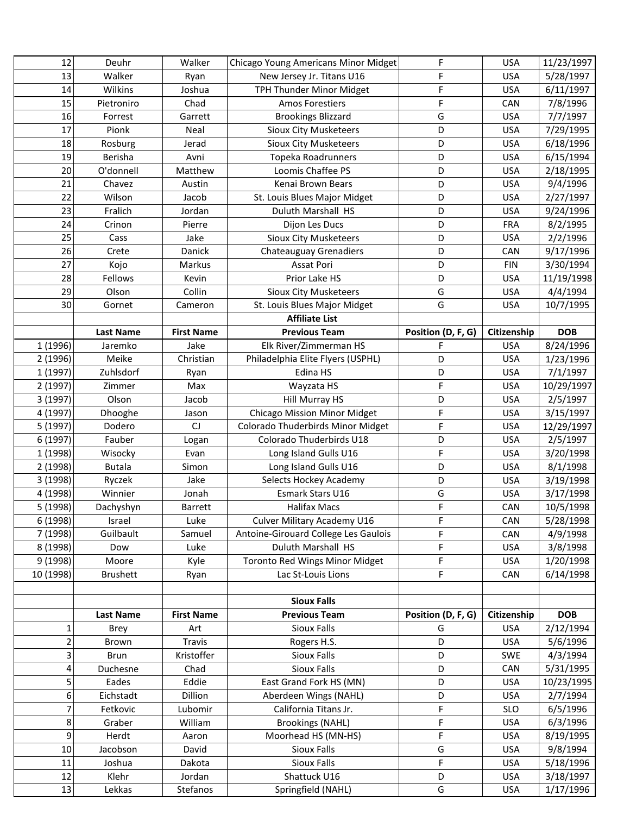| 12        | Deuhr             | Walker            | Chicago Young Americans Minor Midget       | F                  | <b>USA</b>  | 11/23/1997 |
|-----------|-------------------|-------------------|--------------------------------------------|--------------------|-------------|------------|
| 13        | Walker            | Ryan              | New Jersey Jr. Titans U16                  | F                  | <b>USA</b>  | 5/28/1997  |
| 14        | Wilkins           | Joshua            | TPH Thunder Minor Midget                   | F                  | <b>USA</b>  | 6/11/1997  |
| 15        | Pietroniro        | Chad              | <b>Amos Forestiers</b>                     | F                  | CAN         | 7/8/1996   |
| 16        | Forrest           | Garrett           | <b>Brookings Blizzard</b>                  | G                  | <b>USA</b>  | 7/7/1997   |
| 17        | Pionk             | Neal              | <b>Sioux City Musketeers</b>               | D                  | <b>USA</b>  | 7/29/1995  |
| 18        | Rosburg           | Jerad             | <b>Sioux City Musketeers</b>               | D                  | <b>USA</b>  | 6/18/1996  |
| 19        | Berisha           | Avni              | <b>Topeka Roadrunners</b>                  | D                  | <b>USA</b>  | 6/15/1994  |
| 20        | O'donnell         | Matthew           | Loomis Chaffee PS                          | D                  | <b>USA</b>  | 2/18/1995  |
| 21        | Chavez            | Austin            | Kenai Brown Bears                          | D                  | <b>USA</b>  | 9/4/1996   |
| 22        | Wilson            | Jacob             | St. Louis Blues Major Midget               | D                  | <b>USA</b>  | 2/27/1997  |
| 23        | Fralich           | Jordan            | Duluth Marshall HS                         | D                  | <b>USA</b>  | 9/24/1996  |
| 24        | Crinon            | Pierre            | Dijon Les Ducs                             | D                  | <b>FRA</b>  | 8/2/1995   |
| 25        | Cass              | Jake              | Sioux City Musketeers                      | D                  | <b>USA</b>  | 2/2/1996   |
| 26        | Crete             | Danick            | <b>Chateauguay Grenadiers</b>              | D                  | CAN         | 9/17/1996  |
| 27        | Kojo              | Markus            | Assat Pori                                 | D                  | <b>FIN</b>  | 3/30/1994  |
| 28        | Fellows           | Kevin             | Prior Lake HS                              | D                  | <b>USA</b>  | 11/19/1998 |
| 29        | Olson             | Collin            | Sioux City Musketeers                      | G                  | <b>USA</b>  | 4/4/1994   |
| 30        | Gornet            | Cameron           | St. Louis Blues Major Midget               | G                  | <b>USA</b>  | 10/7/1995  |
|           |                   |                   | <b>Affiliate List</b>                      |                    |             |            |
|           | <b>Last Name</b>  | <b>First Name</b> | <b>Previous Team</b>                       | Position (D, F, G) | Citizenship | <b>DOB</b> |
| 1 (1996)  | Jaremko           | Jake              | Elk River/Zimmerman HS                     | F                  | <b>USA</b>  | 8/24/1996  |
| 2 (1996)  | Meike             | Christian         | Philadelphia Elite Flyers (USPHL)          | D                  | <b>USA</b>  | 1/23/1996  |
| 1 (1997)  | Zuhlsdorf         | Ryan              | Edina HS                                   | D                  | <b>USA</b>  | 7/1/1997   |
| 2 (1997)  | Zimmer            | Max               | Wayzata HS                                 | F                  | <b>USA</b>  | 10/29/1997 |
| 3 (1997)  | Olson             | Jacob             | Hill Murray HS                             | D                  | <b>USA</b>  | 2/5/1997   |
| 4 (1997)  | Dhooghe           | Jason             | <b>Chicago Mission Minor Midget</b>        | F                  | <b>USA</b>  | 3/15/1997  |
| 5 (1997)  | Dodero            | CJ                | Colorado Thuderbirds Minor Midget          | F                  | <b>USA</b>  | 12/29/1997 |
| 6 (1997)  | Fauber            |                   | Colorado Thuderbirds U18                   | D                  | <b>USA</b>  | 2/5/1997   |
| 1 (1998)  | Wisocky           | Logan<br>Evan     | Long Island Gulls U16                      | F                  | <b>USA</b>  | 3/20/1998  |
| 2 (1998)  | <b>Butala</b>     | Simon             | Long Island Gulls U16                      | D                  | <b>USA</b>  | 8/1/1998   |
|           |                   | Jake              |                                            | D                  | <b>USA</b>  |            |
| 3 (1998)  | Ryczek<br>Winnier | Jonah             | Selects Hockey Academy<br>Esmark Stars U16 | G                  |             | 3/19/1998  |
| 4 (1998)  |                   |                   |                                            | F                  | <b>USA</b>  | 3/17/1998  |
| 5 (1998)  | Dachyshyn         | Barrett           | <b>Halifax Macs</b>                        |                    | CAN         | 10/5/1998  |
| 6 (1998)  | Israel            | Luke              | Culver Military Academy U16                | F<br>F.            | CAN         | 5/28/1998  |
| 7 (1998)  | Guilbault         | Samuel            | Antoine-Girouard College Les Gaulois       |                    | CAN         | 4/9/1998   |
| 8 (1998)  | Dow               | Luke              | Duluth Marshall HS                         | F                  | <b>USA</b>  | 3/8/1998   |
| 9 (1998)  | Moore             | Kyle              | Toronto Red Wings Minor Midget             | F                  | <b>USA</b>  | 1/20/1998  |
| 10 (1998) | <b>Brushett</b>   | Ryan              | Lac St-Louis Lions                         | F                  | CAN         | 6/14/1998  |
|           |                   |                   |                                            |                    |             |            |
|           |                   |                   | <b>Sioux Falls</b>                         |                    |             |            |
|           | <b>Last Name</b>  | <b>First Name</b> | <b>Previous Team</b>                       | Position (D, F, G) | Citizenship | <b>DOB</b> |
| 1         | <b>Brey</b>       | Art               | <b>Sioux Falls</b>                         | G                  | <b>USA</b>  | 2/12/1994  |
| 2         | Brown             | Travis            | Rogers H.S.                                | D                  | <b>USA</b>  | 5/6/1996   |
| 3         | Brun              | Kristoffer        | Sioux Falls                                | D                  | <b>SWE</b>  | 4/3/1994   |
| 4         | Duchesne          | Chad              | <b>Sioux Falls</b>                         | D                  | CAN         | 5/31/1995  |
| 5         | Eades             | Eddie             | East Grand Fork HS (MN)                    | D                  | <b>USA</b>  | 10/23/1995 |
| 6         | Eichstadt         | Dillion           | Aberdeen Wings (NAHL)                      | D                  | <b>USA</b>  | 2/7/1994   |
| 7         | Fetkovic          | Lubomir           | California Titans Jr.                      | F                  | <b>SLO</b>  | 6/5/1996   |
| 8         | Graber            | William           | <b>Brookings (NAHL)</b>                    | F                  | <b>USA</b>  | 6/3/1996   |
| 9         | Herdt             | Aaron             | Moorhead HS (MN-HS)                        | F                  | <b>USA</b>  | 8/19/1995  |
| 10        | Jacobson          | David             | <b>Sioux Falls</b>                         | G                  | <b>USA</b>  | 9/8/1994   |
| 11        |                   |                   |                                            |                    |             |            |
|           | Joshua            | Dakota            | <b>Sioux Falls</b>                         | F                  | <b>USA</b>  | 5/18/1996  |
| 12<br>13  | Klehr<br>Lekkas   | Jordan            | Shattuck U16                               | D<br>G             | <b>USA</b>  | 3/18/1997  |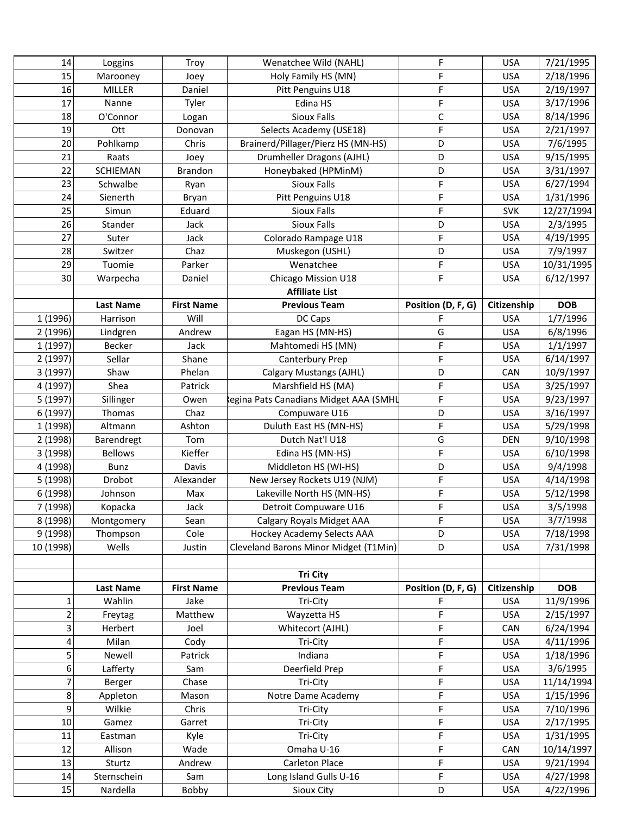| 14             |                     |                   |                                              | F                  | <b>USA</b>  |                        |
|----------------|---------------------|-------------------|----------------------------------------------|--------------------|-------------|------------------------|
| 15             | Loggins<br>Marooney | Troy<br>Joey      | Wenatchee Wild (NAHL)<br>Holy Family HS (MN) | F                  | <b>USA</b>  | 7/21/1995<br>2/18/1996 |
| 16             |                     |                   |                                              | F                  | <b>USA</b>  | 2/19/1997              |
| 17             | <b>MILLER</b>       | Daniel            | Pitt Penguins U18<br>Edina HS                | F                  |             |                        |
|                | Nanne               | Tyler             |                                              |                    | <b>USA</b>  | 3/17/1996              |
| 18             | O'Connor            | Logan             | <b>Sioux Falls</b>                           | $\mathsf C$        | <b>USA</b>  | 8/14/1996              |
| 19             | Ott                 | Donovan           | Selects Academy (USE18)                      | F                  | <b>USA</b>  | 2/21/1997              |
| 20             | Pohlkamp            | Chris             | Brainerd/Pillager/Pierz HS (MN-HS)           | D                  | <b>USA</b>  | 7/6/1995               |
| 21             | Raats               | Joey              | Drumheller Dragons (AJHL)                    | D                  | <b>USA</b>  | 9/15/1995              |
| 22             | <b>SCHIEMAN</b>     | <b>Brandon</b>    | Honeybaked (HPMinM)                          | D                  | <b>USA</b>  | 3/31/1997              |
| 23             | Schwalbe            | Ryan              | <b>Sioux Falls</b>                           | F                  | <b>USA</b>  | 6/27/1994              |
| 24             | Sienerth            | Bryan             | Pitt Penguins U18                            | F                  | <b>USA</b>  | 1/31/1996              |
| 25             | Simun               | Eduard            | Sioux Falls                                  | F                  | <b>SVK</b>  | 12/27/1994             |
| 26             | Stander             | Jack              | <b>Sioux Falls</b>                           | D                  | <b>USA</b>  | 2/3/1995               |
| 27             | Suter               | Jack              | Colorado Rampage U18                         | F                  | <b>USA</b>  | 4/19/1995              |
| 28             | Switzer             | Chaz              | Muskegon (USHL)                              | D                  | <b>USA</b>  | 7/9/1997               |
| 29             | Tuomie              | Parker            | Wenatchee                                    | F                  | <b>USA</b>  | 10/31/1995             |
| 30             | Warpecha            | Daniel            | Chicago Mission U18                          | F                  | <b>USA</b>  | 6/12/1997              |
|                |                     |                   | <b>Affiliate List</b>                        |                    |             |                        |
|                | <b>Last Name</b>    | <b>First Name</b> | <b>Previous Team</b>                         | Position (D, F, G) | Citizenship | <b>DOB</b>             |
| 1 (1996)       | Harrison            | Will              | DC Caps                                      | F                  | <b>USA</b>  | 1/7/1996               |
| 2 (1996)       | Lindgren            | Andrew            | Eagan HS (MN-HS)                             | G                  | <b>USA</b>  | 6/8/1996               |
| 1 (1997)       | Becker              | Jack              | Mahtomedi HS (MN)                            | F                  | <b>USA</b>  | 1/1/1997               |
| 2 (1997)       | Sellar              | Shane             | Canterbury Prep                              | F                  | <b>USA</b>  | 6/14/1997              |
| 3 (1997)       | Shaw                | Phelan            | Calgary Mustangs (AJHL)                      | D                  | CAN         | 10/9/1997              |
| 4 (1997)       | Shea                | Patrick           | Marshfield HS (MA)                           | F                  | <b>USA</b>  | 3/25/1997              |
| 5 (1997)       | Sillinger           | Owen              | egina Pats Canadians Midget AAA (SMHL        | F                  | <b>USA</b>  | 9/23/1997              |
| 6 (1997)       | Thomas              | Chaz              | Compuware U16                                | D                  | <b>USA</b>  | 3/16/1997              |
| 1 (1998)       | Altmann             | Ashton            | Duluth East HS (MN-HS)                       | F                  | <b>USA</b>  | 5/29/1998              |
| 2 (1998)       | Barendregt          | Tom               | Dutch Nat'l U18                              | G                  | <b>DEN</b>  | 9/10/1998              |
| 3 (1998)       | <b>Bellows</b>      | Kieffer           | Edina HS (MN-HS)                             | F                  | <b>USA</b>  | 6/10/1998              |
| 4 (1998)       | Bunz                | Davis             | Middleton HS (WI-HS)                         | D                  | <b>USA</b>  | 9/4/1998               |
| 5 (1998)       | Drobot              | Alexander         | New Jersey Rockets U19 (NJM)                 | F                  | <b>USA</b>  | 4/14/1998              |
| 6 (1998)       | Johnson             | Max               | Lakeville North HS (MN-HS)                   | F                  | <b>USA</b>  | 5/12/1998              |
| 7 (1998)       | Kopacka             | Jack              | Detroit Compuware U16                        | F                  | <b>USA</b>  | 3/5/1998               |
| 8 (1998)       | Montgomery          | Sean              | Calgary Royals Midget AAA                    | F                  | <b>USA</b>  | 3/7/1998               |
| 9 (1998)       | Thompson            | Cole              | Hockey Academy Selects AAA                   | D                  | <b>USA</b>  | 7/18/1998              |
| 10 (1998)      | Wells               |                   | Cleveland Barons Minor Midget (T1Min)        | D                  | <b>USA</b>  | 7/31/1998              |
|                |                     | Justin            |                                              |                    |             |                        |
|                |                     |                   |                                              |                    |             |                        |
|                |                     |                   | <b>Tri City</b>                              |                    |             |                        |
|                | <b>Last Name</b>    | <b>First Name</b> | <b>Previous Team</b>                         | Position (D, F, G) | Citizenship | <b>DOB</b>             |
| $\mathbf{1}$   | Wahlin              | Jake              | Tri-City                                     | F                  | <b>USA</b>  | 11/9/1996              |
| $\overline{2}$ | Freytag             | Matthew           | Wayzetta HS                                  | F                  | <b>USA</b>  | 2/15/1997              |
| 3              | Herbert             | Joel              | Whitecort (AJHL)                             | F                  | CAN         | 6/24/1994              |
| 4              | Milan               | Cody              | Tri-City                                     | F                  | <b>USA</b>  | 4/11/1996              |
| 5              | Newell              | Patrick           | Indiana                                      | F                  | <b>USA</b>  | 1/18/1996              |
| 6              | Lafferty            | Sam               | Deerfield Prep                               | F                  | <b>USA</b>  | 3/6/1995               |
| $\overline{7}$ | Berger              | Chase             | Tri-City                                     | F                  | <b>USA</b>  | 11/14/1994             |
| 8              | Appleton            | Mason             | Notre Dame Academy                           | F                  | <b>USA</b>  | 1/15/1996              |
| 9              | Wilkie              | Chris             | Tri-City                                     | F                  | <b>USA</b>  | 7/10/1996              |
| $10\,$         | Gamez               | Garret            | Tri-City                                     | F                  | <b>USA</b>  | 2/17/1995              |
| 11             | Eastman             | Kyle              | Tri-City                                     | F                  | <b>USA</b>  | 1/31/1995              |
| 12             | Allison             | Wade              | Omaha U-16                                   | F                  | CAN         | 10/14/1997             |
| 13             | Sturtz              | Andrew            | Carleton Place                               | F.                 | <b>USA</b>  | 9/21/1994              |
| 14             | Sternschein         | Sam               | Long Island Gulls U-16                       | F                  | <b>USA</b>  | 4/27/1998              |
| 15             | Nardella            | Bobby             | Sioux City                                   | D                  | <b>USA</b>  | 4/22/1996              |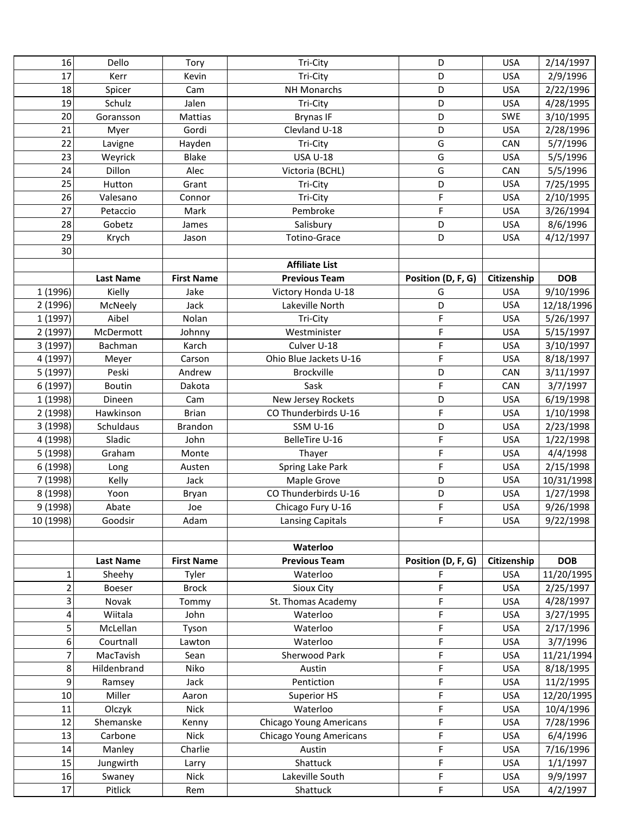| 16        | Dello            | Tory              | Tri-City                       | D                  | <b>USA</b>  | 2/14/1997  |
|-----------|------------------|-------------------|--------------------------------|--------------------|-------------|------------|
| 17        | Kerr             | Kevin             | Tri-City                       | D                  | <b>USA</b>  | 2/9/1996   |
| 18        | Spicer           | Cam               | <b>NH Monarchs</b>             | D                  | <b>USA</b>  | 2/22/1996  |
| 19        | Schulz           | Jalen             | Tri-City                       | D                  | <b>USA</b>  | 4/28/1995  |
| 20        | Goransson        | Mattias           | <b>Brynas IF</b>               | D                  | <b>SWE</b>  | 3/10/1995  |
| 21        | Myer             | Gordi             | Clevland U-18                  | D                  | <b>USA</b>  | 2/28/1996  |
| 22        | Lavigne          | Hayden            | Tri-City                       | G                  | CAN         | 5/7/1996   |
| 23        | Weyrick          | <b>Blake</b>      | <b>USA U-18</b>                | G                  | <b>USA</b>  | 5/5/1996   |
| 24        | Dillon           | Alec              | Victoria (BCHL)                | G                  | CAN         | 5/5/1996   |
| 25        | Hutton           | Grant             | Tri-City                       | D                  | <b>USA</b>  | 7/25/1995  |
| 26        | Valesano         | Connor            | Tri-City                       | F                  | <b>USA</b>  | 2/10/1995  |
| 27        | Petaccio         | Mark              | Pembroke                       | F                  | <b>USA</b>  | 3/26/1994  |
| 28        | Gobetz           | James             | Salisbury                      | D                  | <b>USA</b>  | 8/6/1996   |
| 29        | Krych            | Jason             | Totino-Grace                   | D                  | <b>USA</b>  | 4/12/1997  |
| 30        |                  |                   |                                |                    |             |            |
|           |                  |                   | <b>Affiliate List</b>          |                    |             |            |
|           | <b>Last Name</b> | <b>First Name</b> | <b>Previous Team</b>           | Position (D, F, G) | Citizenship | <b>DOB</b> |
| 1 (1996)  | Kielly           | Jake              | Victory Honda U-18             | G                  | <b>USA</b>  | 9/10/1996  |
| 2 (1996)  | McNeely          | Jack              | Lakeville North                | D                  | <b>USA</b>  | 12/18/1996 |
| 1 (1997)  | Aibel            | Nolan             | Tri-City                       | F                  | <b>USA</b>  | 5/26/1997  |
| 2 (1997)  | McDermott        | Johnny            | Westminister                   | F                  | <b>USA</b>  | 5/15/1997  |
| 3 (1997)  | Bachman          | Karch             | Culver U-18                    | F                  | <b>USA</b>  | 3/10/1997  |
| 4 (1997)  | Meyer            | Carson            | Ohio Blue Jackets U-16         | F                  | <b>USA</b>  | 8/18/1997  |
| 5 (1997)  | Peski            | Andrew            | <b>Brockville</b>              | D                  | CAN         | 3/11/1997  |
| 6 (1997)  | <b>Boutin</b>    | Dakota            | Sask                           | F                  | CAN         | 3/7/1997   |
| 1 (1998)  | Dineen           | Cam               | New Jersey Rockets             | D                  | <b>USA</b>  | 6/19/1998  |
| 2 (1998)  | Hawkinson        | <b>Brian</b>      | CO Thunderbirds U-16           | F                  | <b>USA</b>  | 1/10/1998  |
| 3 (1998)  | Schuldaus        | Brandon           | <b>SSM U-16</b>                | D                  | <b>USA</b>  | 2/23/1998  |
| 4 (1998)  | Sladic           | John              | <b>BelleTire U-16</b>          | F                  | <b>USA</b>  | 1/22/1998  |
| 5 (1998)  | Graham           | Monte             | Thayer                         | F                  | <b>USA</b>  | 4/4/1998   |
| 6 (1998)  | Long             | Austen            | Spring Lake Park               | F                  | <b>USA</b>  | 2/15/1998  |
| 7 (1998)  | Kelly            | Jack              | Maple Grove                    | D                  | <b>USA</b>  | 10/31/1998 |
| 8 (1998)  | Yoon             | Bryan             | CO Thunderbirds U-16           | D                  | <b>USA</b>  | 1/27/1998  |
| 9 (1998)  | Abate            | Joe               | Chicago Fury U-16              | F                  | <b>USA</b>  | 9/26/1998  |
| 10 (1998) | Goodsir          | Adam              | <b>Lansing Capitals</b>        | F                  | <b>USA</b>  | 9/22/1998  |
|           |                  |                   |                                |                    |             |            |
|           |                  |                   | Waterloo                       |                    |             |            |
|           | <b>Last Name</b> | <b>First Name</b> | <b>Previous Team</b>           | Position (D, F, G) | Citizenship | <b>DOB</b> |
| 1         | Sheehy           | Tyler             | Waterloo                       | F                  | <b>USA</b>  | 11/20/1995 |
| 2         | <b>Boeser</b>    | <b>Brock</b>      | Sioux City                     | F                  | <b>USA</b>  | 2/25/1997  |
| 3         | Novak            | Tommy             | St. Thomas Academy             | F                  | <b>USA</b>  | 4/28/1997  |
| 4         | Wiitala          | John              | Waterloo                       | F                  | <b>USA</b>  | 3/27/1995  |
| 5         | McLellan         | Tyson             | Waterloo                       | F                  | <b>USA</b>  | 2/17/1996  |
| 6         | Courtnall        | Lawton            | Waterloo                       | F                  | <b>USA</b>  | 3/7/1996   |
| 7         | MacTavish        | Sean              | Sherwood Park                  | F                  | <b>USA</b>  | 11/21/1994 |
| 8         | Hildenbrand      | Niko              | Austin                         | F                  | <b>USA</b>  | 8/18/1995  |
| 9         | Ramsey           | Jack              | Pentiction                     | F                  | <b>USA</b>  | 11/2/1995  |
| 10        | Miller           | Aaron             | Superior HS                    | F                  | <b>USA</b>  | 12/20/1995 |
| 11        | Olczyk           | <b>Nick</b>       | Waterloo                       | F                  | <b>USA</b>  | 10/4/1996  |
| 12        | Shemanske        | Kenny             | <b>Chicago Young Americans</b> | F                  | <b>USA</b>  | 7/28/1996  |
| 13        | Carbone          | <b>Nick</b>       | <b>Chicago Young Americans</b> | F                  | <b>USA</b>  | 6/4/1996   |
| 14        | Manley           | Charlie           | Austin                         | F                  | <b>USA</b>  | 7/16/1996  |
| 15        | Jungwirth        | Larry             | Shattuck                       | F                  | <b>USA</b>  | 1/1/1997   |
| 16        | Swaney           | <b>Nick</b>       | Lakeville South                | F                  | <b>USA</b>  | 9/9/1997   |
| 17        | Pitlick          | Rem               | Shattuck                       | F                  | <b>USA</b>  | 4/2/1997   |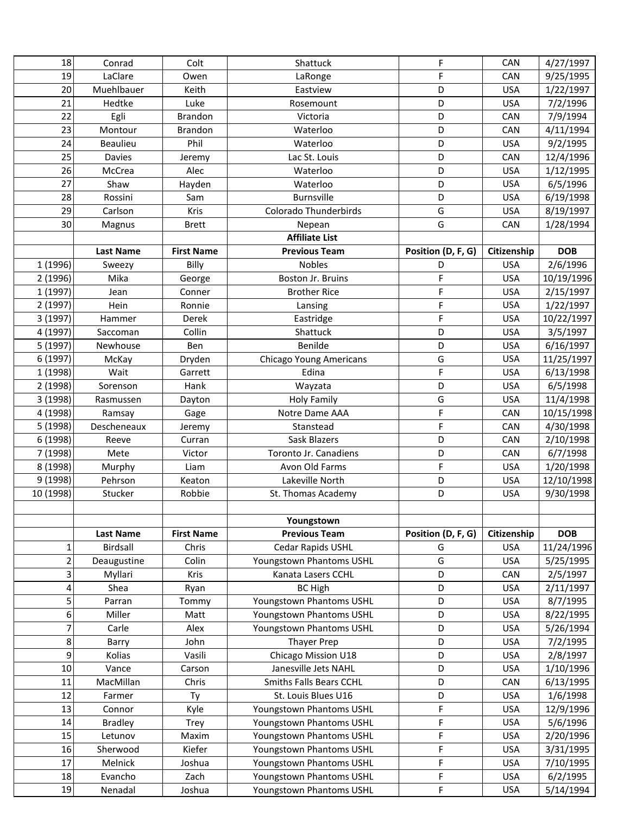| 18             | Conrad           | Colt              | Shattuck                 | F                  | CAN         | 4/27/1997  |
|----------------|------------------|-------------------|--------------------------|--------------------|-------------|------------|
| 19             | LaClare          | Owen              | LaRonge                  | F                  | CAN         | 9/25/1995  |
| 20             | Muehlbauer       | Keith             | Eastview                 | D                  | <b>USA</b>  | 1/22/1997  |
| 21             | Hedtke           | Luke              | Rosemount                | D                  | <b>USA</b>  | 7/2/1996   |
| 22             | Egli             | <b>Brandon</b>    | Victoria                 | D                  | CAN         | 7/9/1994   |
| 23             | Montour          | <b>Brandon</b>    | Waterloo                 | D                  | CAN         | 4/11/1994  |
| 24             | Beaulieu         | Phil              | Waterloo                 | D                  | <b>USA</b>  | 9/2/1995   |
| 25             | Davies           | Jeremy            | Lac St. Louis            | D                  | CAN         | 12/4/1996  |
| 26             | McCrea           | Alec              | Waterloo                 | D                  | <b>USA</b>  | 1/12/1995  |
| 27             | Shaw             | Hayden            | Waterloo                 | D                  | <b>USA</b>  | 6/5/1996   |
| 28             | Rossini          | Sam               | Burnsville               | D                  | <b>USA</b>  | 6/19/1998  |
| 29             | Carlson          | Kris              | Colorado Thunderbirds    | G                  | <b>USA</b>  | 8/19/1997  |
| 30             | Magnus           | <b>Brett</b>      | Nepean                   | G                  | CAN         | 1/28/1994  |
|                |                  |                   | <b>Affiliate List</b>    |                    |             |            |
|                | <b>Last Name</b> | <b>First Name</b> | <b>Previous Team</b>     | Position (D, F, G) | Citizenship | <b>DOB</b> |
| 1 (1996)       | Sweezy           | Billy             | <b>Nobles</b>            | D                  | <b>USA</b>  | 2/6/1996   |
| 2 (1996)       | Mika             | George            | Boston Jr. Bruins        | F                  | <b>USA</b>  | 10/19/1996 |
| 1 (1997)       | Jean             | Conner            | <b>Brother Rice</b>      | F                  | <b>USA</b>  | 2/15/1997  |
| 2 (1997)       | Hein             | Ronnie            | Lansing                  | F                  | <b>USA</b>  | 1/22/1997  |
| 3 (1997)       | Hammer           | Derek             | Eastridge                | F                  | <b>USA</b>  | 10/22/1997 |
| 4 (1997)       | Saccoman         | Collin            | Shattuck                 | D                  | <b>USA</b>  | 3/5/1997   |
| 5 (1997)       | Newhouse         | Ben               | Benilde                  | D                  | <b>USA</b>  | 6/16/1997  |
| 6 (1997)       | McKay            | Dryden            | Chicago Young Americans  | G                  | <b>USA</b>  | 11/25/1997 |
| 1 (1998)       | Wait             | Garrett           | Edina                    | F.                 | <b>USA</b>  | 6/13/1998  |
| 2 (1998)       | Sorenson         | Hank              | Wayzata                  | D                  | <b>USA</b>  | 6/5/1998   |
| 3 (1998)       | Rasmussen        | Dayton            | <b>Holy Family</b>       | G                  | <b>USA</b>  | 11/4/1998  |
| 4 (1998)       | Ramsay           | Gage              | Notre Dame AAA           | F                  | CAN         | 10/15/1998 |
| 5 (1998)       | Descheneaux      | Jeremy            | Stanstead                | F                  | CAN         | 4/30/1998  |
| 6 (1998)       | Reeve            | Curran            | Sask Blazers             | D                  | CAN         | 2/10/1998  |
| 7 (1998)       | Mete             | Victor            | Toronto Jr. Canadiens    | D                  | CAN         | 6/7/1998   |
| 8 (1998)       | Murphy           | Liam              | Avon Old Farms           | F.                 | <b>USA</b>  | 1/20/1998  |
| 9 (1998)       | Pehrson          | Keaton            | Lakeville North          | D                  | <b>USA</b>  | 12/10/1998 |
| 10 (1998)      | Stucker          | Robbie            | St. Thomas Academy       | D                  | <b>USA</b>  | 9/30/1998  |
|                |                  |                   |                          |                    |             |            |
|                |                  |                   | Youngstown               |                    |             |            |
|                | <b>Last Name</b> | <b>First Name</b> | <b>Previous Team</b>     | Position (D, F, G) | Citizenship | <b>DOB</b> |
| $\mathbf 1$    | Birdsall         | Chris             | Cedar Rapids USHL        | G                  | <b>USA</b>  | 11/24/1996 |
| $\overline{2}$ | Deaugustine      | Colin             | Youngstown Phantoms USHL | G                  | <b>USA</b>  | 5/25/1995  |
| 3              | Myllari          | Kris              | Kanata Lasers CCHL       | D                  | CAN         | 2/5/1997   |
| 4              | Shea             | Ryan              | <b>BC High</b>           | D                  | <b>USA</b>  | 2/11/1997  |
| 5              | Parran           | Tommy             | Youngstown Phantoms USHL | D                  | <b>USA</b>  | 8/7/1995   |
| 6              | Miller           | Matt              | Youngstown Phantoms USHL | D                  | <b>USA</b>  | 8/22/1995  |
| $\overline{7}$ | Carle            | Alex              | Youngstown Phantoms USHL | D                  | <b>USA</b>  | 5/26/1994  |
| 8              |                  | John              | <b>Thayer Prep</b>       | D                  | <b>USA</b>  | 7/2/1995   |
| 9              | Barry            |                   |                          |                    |             |            |
| 10             | Kolias           | Vasili            | Chicago Mission U18      | D                  | <b>USA</b>  | 2/8/1997   |
|                | Vance            | Carson            | Janesville Jets NAHL     | D                  | <b>USA</b>  | 1/10/1996  |
| 11             | MacMillan        | Chris             | Smiths Falls Bears CCHL  | D                  | CAN         | 6/13/1995  |
| 12             | Farmer           | Ty                | St. Louis Blues U16      | D                  | <b>USA</b>  | 1/6/1998   |
| 13             | Connor           | Kyle              | Youngstown Phantoms USHL | F                  | <b>USA</b>  | 12/9/1996  |
| 14             | <b>Bradley</b>   | Trey              | Youngstown Phantoms USHL | F                  | <b>USA</b>  | 5/6/1996   |
| 15             | Letunov          | Maxim             | Youngstown Phantoms USHL | F                  | <b>USA</b>  | 2/20/1996  |
| 16             | Sherwood         | Kiefer            | Youngstown Phantoms USHL | F                  | <b>USA</b>  | 3/31/1995  |
| 17             | Melnick          | Joshua            | Youngstown Phantoms USHL | F                  | <b>USA</b>  | 7/10/1995  |
| 18             | Evancho          | Zach              | Youngstown Phantoms USHL | F<br>F             | <b>USA</b>  | 6/2/1995   |